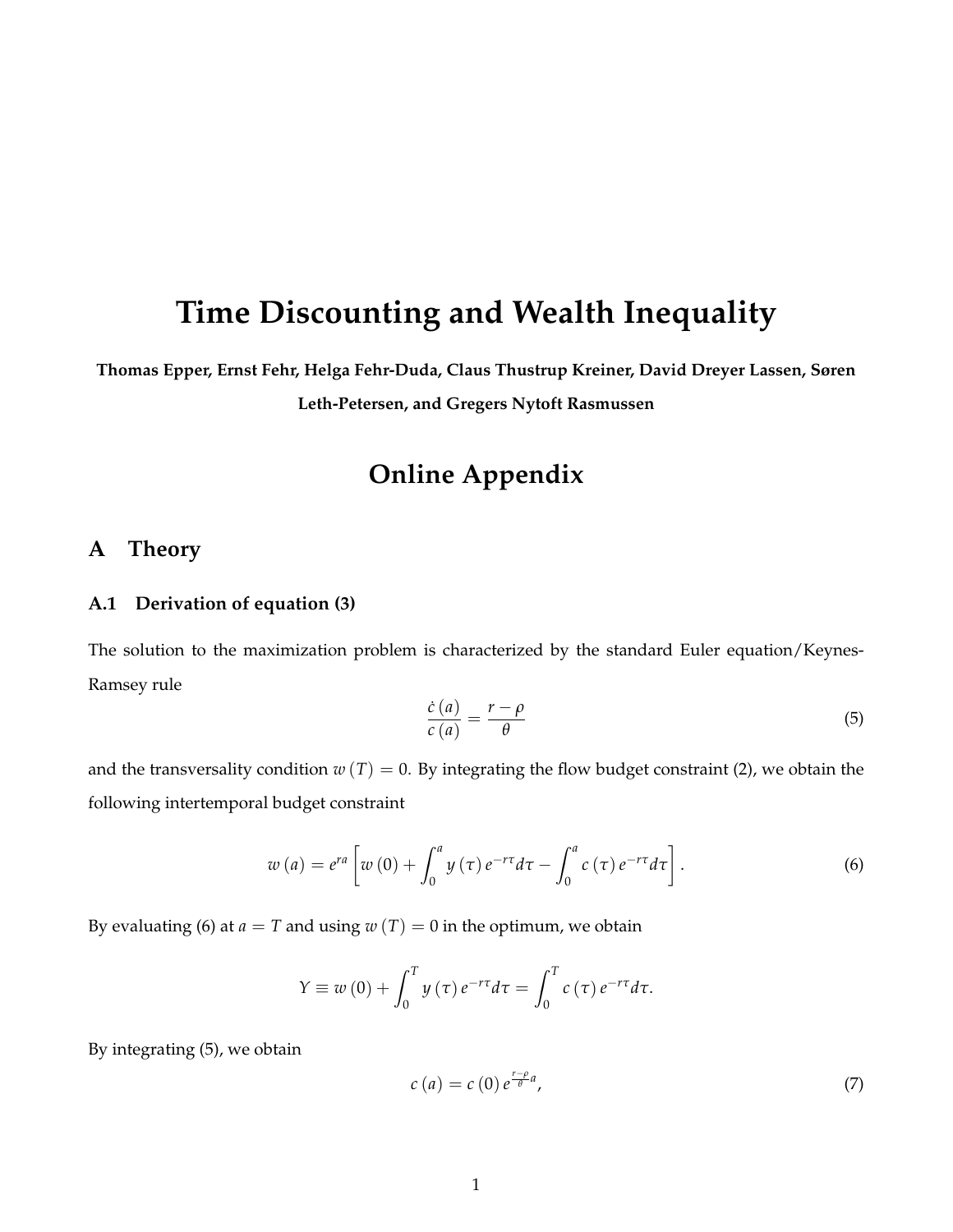# **Time Discounting and Wealth Inequality**

**Thomas Epper, Ernst Fehr, Helga Fehr-Duda, Claus Thustrup Kreiner, David Dreyer Lassen, Søren**

**Leth-Petersen, and Gregers Nytoft Rasmussen**

## **Online Appendix**

## **A Theory**

#### **A.1 Derivation of equation (3)**

The solution to the maximization problem is characterized by the standard Euler equation/Keynes-Ramsey rule

$$
\frac{\dot{c}(a)}{c(a)} = \frac{r - \rho}{\theta} \tag{5}
$$

and the transversality condition  $w(T) = 0$ . By integrating the flow budget constraint (2), we obtain the following intertemporal budget constraint

$$
w\left(a\right) = e^{ra}\left[w\left(0\right) + \int_0^a y\left(\tau\right)e^{-r\tau}d\tau - \int_0^a c\left(\tau\right)e^{-r\tau}d\tau\right].\tag{6}
$$

By evaluating (6) at  $a = T$  and using  $w(T) = 0$  in the optimum, we obtain

$$
Y \equiv w(0) + \int_0^T y(\tau) e^{-r\tau} d\tau = \int_0^T c(\tau) e^{-r\tau} d\tau.
$$

By integrating (5), we obtain

$$
c\left(a\right) = c\left(0\right)e^{\frac{r-\rho}{\theta}a},\tag{7}
$$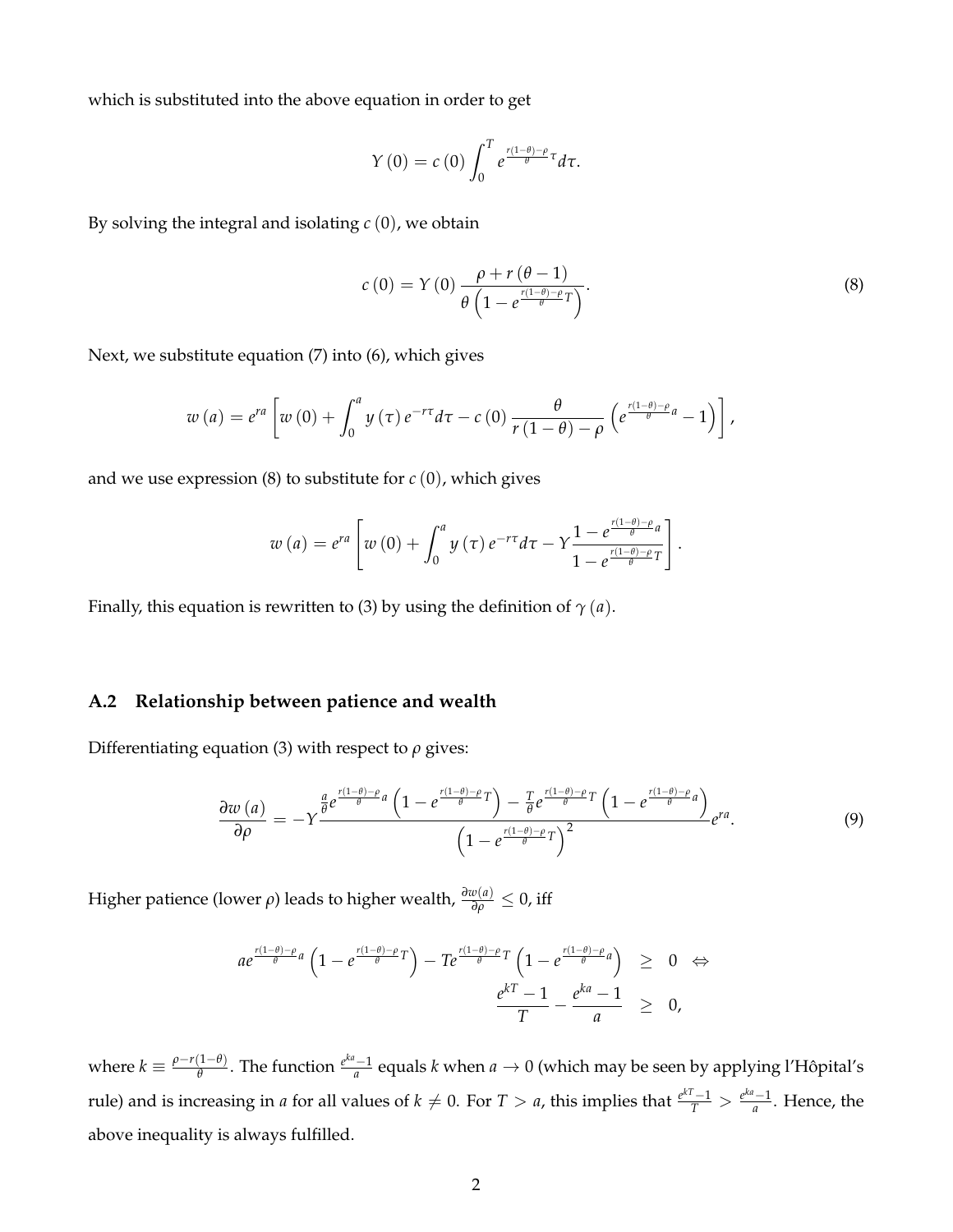which is substituted into the above equation in order to get

$$
Y(0) = c(0) \int_0^T e^{\frac{r(1-\theta)-\rho}{\theta} \tau} d\tau.
$$

By solving the integral and isolating *c* (0), we obtain

$$
c(0) = Y(0) \frac{\rho + r(\theta - 1)}{\theta \left(1 - e^{\frac{r(1-\theta)-\rho}{\theta}}T\right)}.
$$
\n(8)

Next, we substitute equation (7) into (6), which gives

$$
w\left(a\right)=e^{ra}\left[w\left(0\right)+\int_{0}^{a}y\left(\tau\right)e^{-r\tau}d\tau-c\left(0\right)\frac{\theta}{r\left(1-\theta\right)-\rho}\left(e^{\frac{r\left(1-\theta\right)-\rho}{\theta}a}-1\right)\right],
$$

and we use expression (8) to substitute for *c* (0), which gives

$$
w\left(a\right)=e^{ra}\left[w\left(0\right)+\int_{0}^{a}y\left(\tau\right)e^{-r\tau}d\tau-\Upsilon\frac{1-e^{\frac{r\left(1-\theta\right)-\rho}{\theta}a}}{1-e^{\frac{r\left(1-\theta\right)-\rho}{\theta}T}}\right].
$$

Finally, this equation is rewritten to (3) by using the definition of  $\gamma$  (*a*).

#### **A.2 Relationship between patience and wealth**

Differentiating equation (3) with respect to *ρ* gives:

$$
\frac{\partial w\left(a\right)}{\partial \rho} = -Y \frac{\frac{a}{\theta} e^{\frac{r(1-\theta)-\rho}{\theta}a} \left(1 - e^{\frac{r(1-\theta)-\rho}{\theta}T}\right) - \frac{T}{\theta} e^{\frac{r(1-\theta)-\rho}{\theta}T} \left(1 - e^{\frac{r(1-\theta)-\rho}{\theta}a}\right)}{\left(1 - e^{\frac{r(1-\theta)-\rho}{\theta}T}\right)^2} e^{ra}.\tag{9}
$$

Higher patience (lower  $\rho$ ) leads to higher wealth,  $\frac{\partial w(a)}{\partial \rho} \leq 0$ , iff

$$
ae^{\frac{r(1-\theta)-\rho}{\theta}a}\left(1-e^{\frac{r(1-\theta)-\rho}{\theta}T}\right)-Te^{\frac{r(1-\theta)-\rho}{\theta}T}\left(1-e^{\frac{r(1-\theta)-\rho}{\theta}a}\right) \geq 0 \Leftrightarrow \frac{e^{kT}-1}{T}-\frac{e^{ka}-1}{a} \geq 0,
$$

where  $k \equiv \frac{\rho - r(1-\theta)}{\theta}$ *θ*<sub>θ</sub> The function  $\frac{e^{ka}-1}{a}$  equals *k* when *a* → 0 (which may be seen by applying l'Hôpital's rule) and is increasing in *a* for all values of  $k \neq 0$ . For  $T > a$ , this implies that  $\frac{e^{kT}-1}{T} > \frac{e^{ka}-1}{a}$ . Hence, the above inequality is always fulfilled.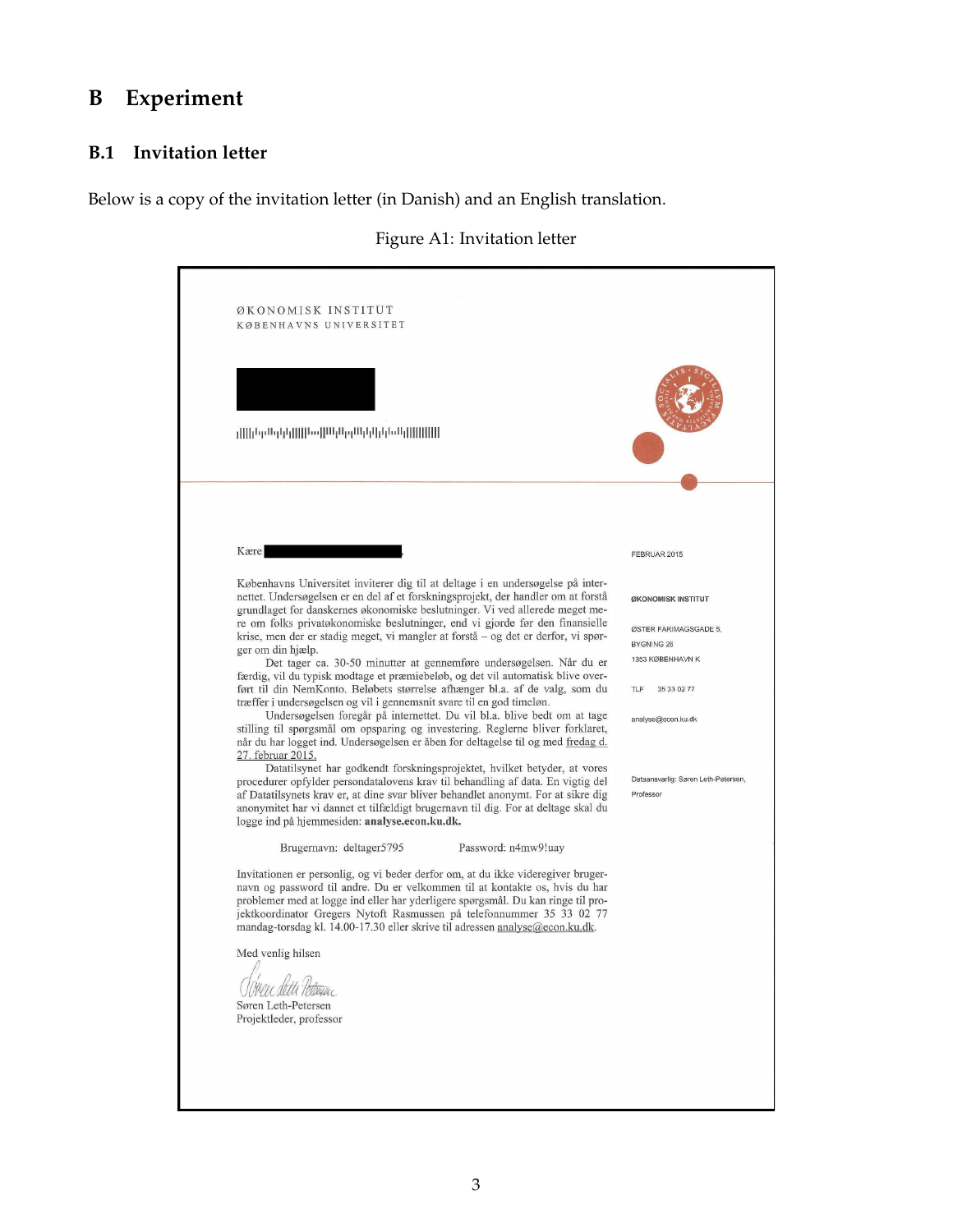## **B Experiment**

## **B.1 Invitation letter**

Below is a copy of the invitation letter (in Danish) and an English translation.



| الالالالالال والملوا والوالا ووالوالا المطللا الواولوا لموارزا الر                                                                                                                                                                                                                                                                                                                                           |                                                                |
|--------------------------------------------------------------------------------------------------------------------------------------------------------------------------------------------------------------------------------------------------------------------------------------------------------------------------------------------------------------------------------------------------------------|----------------------------------------------------------------|
| Kære                                                                                                                                                                                                                                                                                                                                                                                                         | FEBRUAR 2015                                                   |
| Københavns Universitet inviterer dig til at deltage i en undersøgelse på inter-<br>nettet. Undersøgelsen er en del af et forskningsprojekt, der handler om at forstå<br>grundlaget for danskernes økonomiske beslutninger. Vi ved allerede meget me-                                                                                                                                                         | ØKONOMISK INSTITUT                                             |
| re om folks privatøkonomiske beslutninger, end vi gjorde før den finansielle<br>krise, men der er stadig meget, vi mangler at forstå – og det er derfor, vi spør-<br>ger om din hjælp.<br>Det tager ca. 30-50 minutter at gennemføre undersøgelsen. Når du er                                                                                                                                                | ØSTER FARIMAGSGADE 5,<br><b>BYGNING 26</b><br>1353 KØBENHAVN K |
| færdig, vil du typisk modtage et præmiebeløb, og det vil automatisk blive over-<br>ført til din NemKonto. Beløbets størrelse afhænger bl.a. af de valg, som du<br>træffer i undersøgelsen og vil i gennemsnit svare til en god timeløn.                                                                                                                                                                      | TLF<br>35 33 02 77                                             |
| Undersøgelsen foregår på internettet. Du vil bl.a. blive bedt om at tage<br>stilling til spørgsmål om opsparing og investering. Reglerne bliver forklaret,<br>når du har logget ind. Undersøgelsen er åben for deltagelse til og med fredag d.<br>27. februar 2015.                                                                                                                                          | analyse@econ.ku.dk                                             |
| Datatilsynet har godkendt forskningsprojektet, hvilket betyder, at vores<br>procedurer opfylder persondatalovens krav til behandling af data. En vigtig del<br>af Datatilsynets krav er, at dine svar bliver behandlet anonymt. For at sikre dig<br>anonymitet har vi dannet et tilfældigt brugernavn til dig. For at deltage skal du<br>logge ind på hjemmesiden: analyse.econ.ku.dk.                       | Dataansvarlig: Søren Leth-Petersen,<br>Professor               |
| Brugernavn: deltager5795<br>Password: n4mw9!uay                                                                                                                                                                                                                                                                                                                                                              |                                                                |
| Invitationen er personlig, og vi beder derfor om, at du ikke videregiver bruger-<br>navn og password til andre. Du er velkommen til at kontakte os, hvis du har<br>problemer med at logge ind eller har yderligere spørgsmål. Du kan ringe til pro-<br>jektkoordinator Gregers Nytoft Rasmussen på telefonnummer 35 33 02 77<br>mandag-torsdag kl. 14.00-17.30 eller skrive til adressen analyse@econ.ku.dk. |                                                                |
| Med venlig hilsen                                                                                                                                                                                                                                                                                                                                                                                            |                                                                |
| Søren Leth-Petersen<br>Projektleder, professor                                                                                                                                                                                                                                                                                                                                                               |                                                                |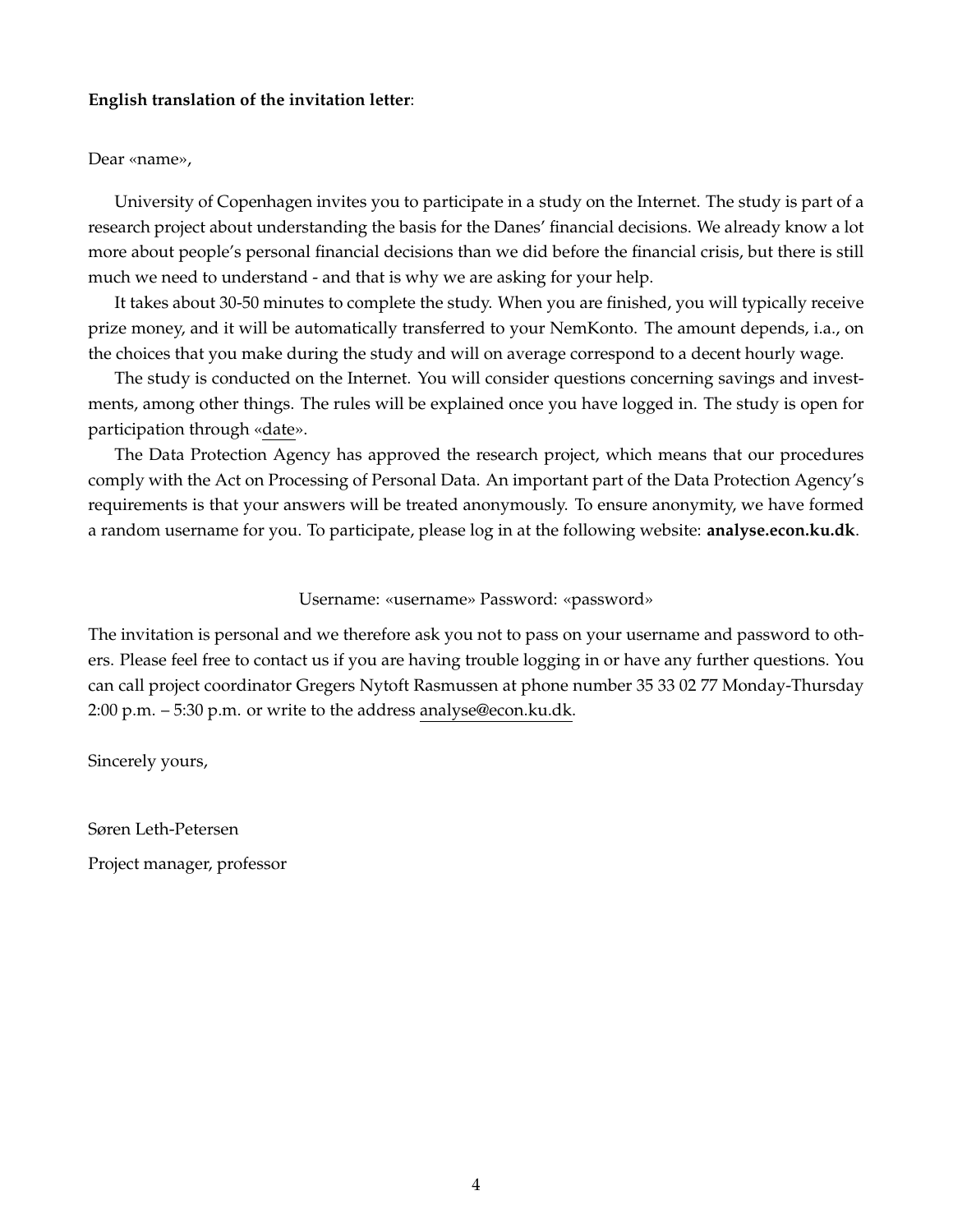#### **English translation of the invitation letter**:

#### Dear «name»,

University of Copenhagen invites you to participate in a study on the Internet. The study is part of a research project about understanding the basis for the Danes' financial decisions. We already know a lot more about people's personal financial decisions than we did before the financial crisis, but there is still much we need to understand - and that is why we are asking for your help.

It takes about 30-50 minutes to complete the study. When you are finished, you will typically receive prize money, and it will be automatically transferred to your NemKonto. The amount depends, i.a., on the choices that you make during the study and will on average correspond to a decent hourly wage.

The study is conducted on the Internet. You will consider questions concerning savings and investments, among other things. The rules will be explained once you have logged in. The study is open for participation through «date».

The Data Protection Agency has approved the research project, which means that our procedures comply with the Act on Processing of Personal Data. An important part of the Data Protection Agency's requirements is that your answers will be treated anonymously. To ensure anonymity, we have formed a random username for you. To participate, please log in at the following website: **analyse.econ.ku.dk**.

#### Username: «username» Password: «password»

The invitation is personal and we therefore ask you not to pass on your username and password to others. Please feel free to contact us if you are having trouble logging in or have any further questions. You can call project coordinator Gregers Nytoft Rasmussen at phone number 35 33 02 77 Monday-Thursday 2:00 p.m. – 5:30 p.m. or write to the address analyse@econ.ku.dk.

Sincerely yours,

Søren Leth-Petersen

Project manager, professor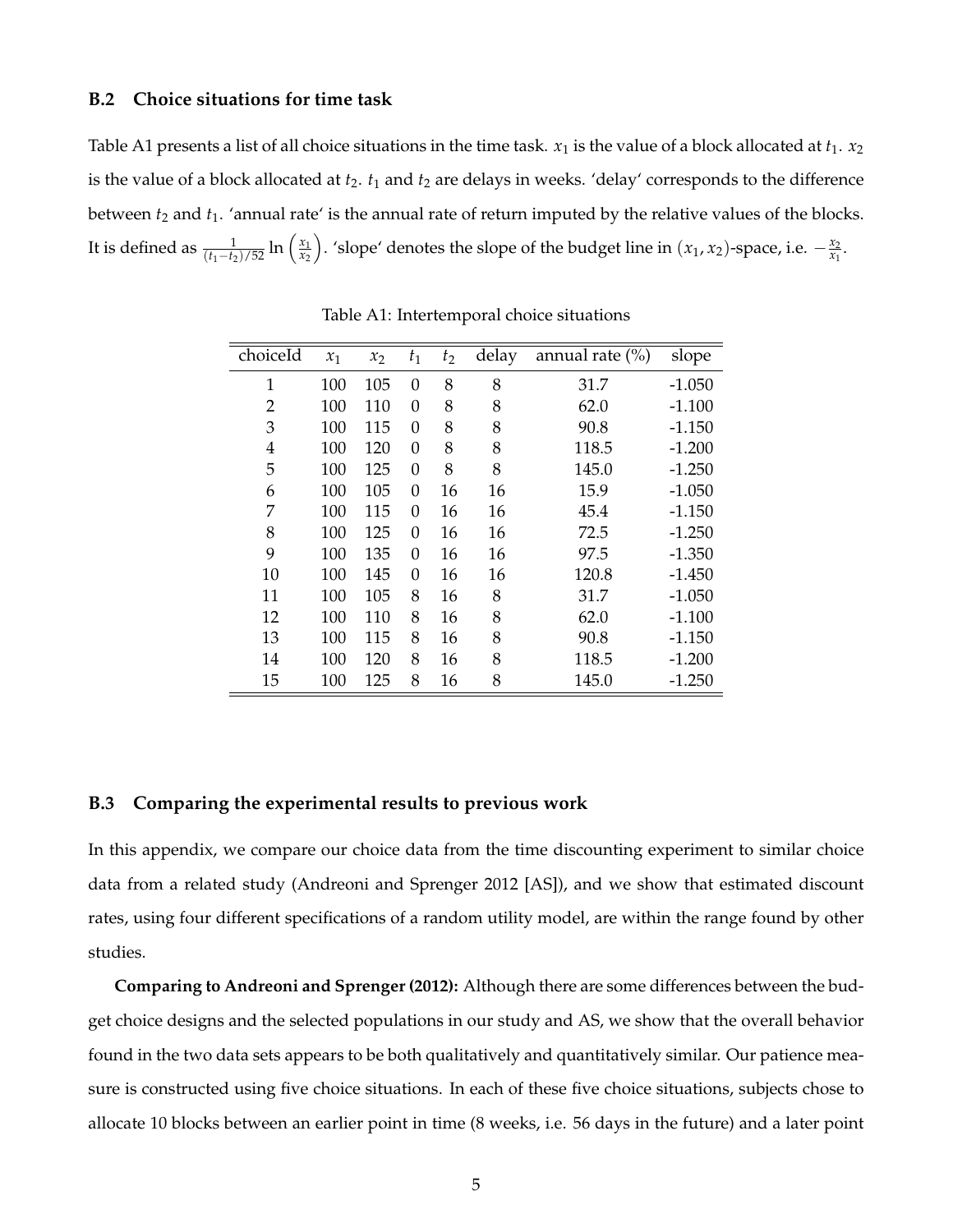#### **B.2 Choice situations for time task**

Table A1 presents a list of all choice situations in the time task.  $x_1$  is the value of a block allocated at  $t_1$ .  $x_2$ is the value of a block allocated at  $t_2$ .  $t_1$  and  $t_2$  are delays in weeks. 'delay' corresponds to the difference between *t*<sub>2</sub> and *t*<sub>1</sub>. 'annual rate' is the annual rate of return imputed by the relative values of the blocks. It is defined as  $\frac{1}{(t_1 - t_2)/52} \ln \left( \frac{x_1}{x_2} \right)$ *x*2 ). 'slope' denotes the slope of the budget line in  $(x_1, x_2)$ -space, i.e.  $-\frac{x_2}{x_1}$  $\frac{x_2}{x_1}$ .

| choiceId       | $x_1$ | $x_2$ | $t_1$    | $t_2$ | delay | annual rate $(\%)$ | slope    |
|----------------|-------|-------|----------|-------|-------|--------------------|----------|
| $\mathbf{1}$   | 100   | 105   | $\theta$ | 8     | 8     | 31.7               | $-1.050$ |
| $\overline{2}$ | 100   | 110   | $\theta$ | 8     | 8     | 62.0               | $-1.100$ |
| 3              | 100   | 115   | 0        | 8     | 8     | 90.8               | $-1.150$ |
| 4              | 100   | 120   | $\theta$ | 8     | 8     | 118.5              | $-1.200$ |
| 5              | 100   | 125   | 0        | 8     | 8     | 145.0              | $-1.250$ |
| 6              | 100   | 105   | 0        | 16    | 16    | 15.9               | $-1.050$ |
| 7              | 100   | 115   | $\theta$ | 16    | 16    | 45.4               | $-1.150$ |
| 8              | 100   | 125   | $\theta$ | 16    | 16    | 72.5               | $-1.250$ |
| 9              | 100   | 135   | $\theta$ | 16    | 16    | 97.5               | $-1.350$ |
| 10             | 100   | 145   | 0        | 16    | 16    | 120.8              | $-1.450$ |
| 11             | 100   | 105   | 8        | 16    | 8     | 31.7               | $-1.050$ |
| 12             | 100   | 110   | 8        | 16    | 8     | 62.0               | $-1.100$ |
| 13             | 100   | 115   | 8        | 16    | 8     | 90.8               | $-1.150$ |
| 14             | 100   | 120   | 8        | 16    | 8     | 118.5              | $-1.200$ |
| 15             | 100   | 125   | 8        | 16    | 8     | 145.0              | $-1.250$ |

Table A1: Intertemporal choice situations

#### **B.3 Comparing the experimental results to previous work**

In this appendix, we compare our choice data from the time discounting experiment to similar choice data from a related study (Andreoni and Sprenger 2012 [AS]), and we show that estimated discount rates, using four different specifications of a random utility model, are within the range found by other studies.

**Comparing to Andreoni and Sprenger (2012):** Although there are some differences between the budget choice designs and the selected populations in our study and AS, we show that the overall behavior found in the two data sets appears to be both qualitatively and quantitatively similar. Our patience measure is constructed using five choice situations. In each of these five choice situations, subjects chose to allocate 10 blocks between an earlier point in time (8 weeks, i.e. 56 days in the future) and a later point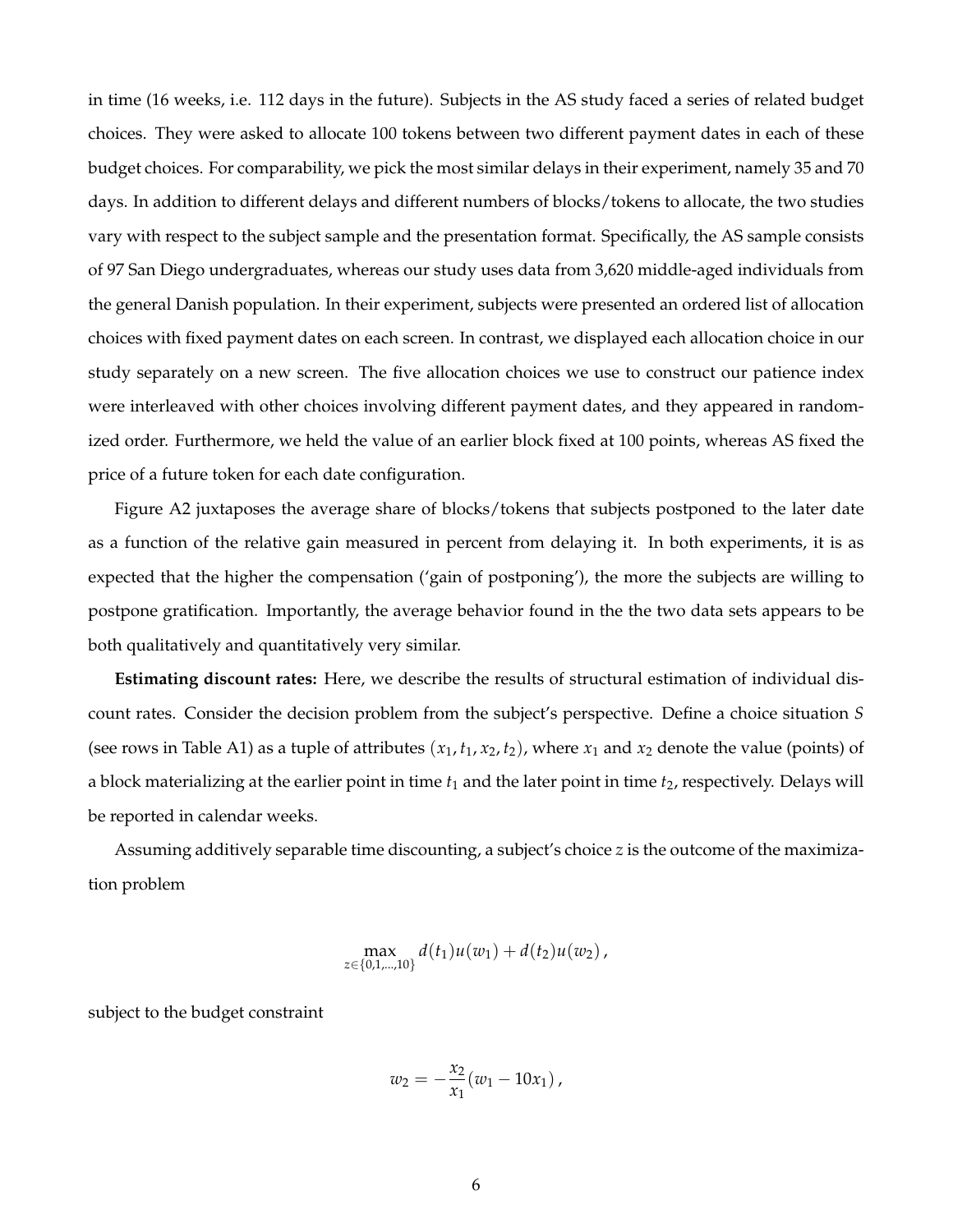in time (16 weeks, i.e. 112 days in the future). Subjects in the AS study faced a series of related budget choices. They were asked to allocate 100 tokens between two different payment dates in each of these budget choices. For comparability, we pick the most similar delays in their experiment, namely 35 and 70 days. In addition to different delays and different numbers of blocks/tokens to allocate, the two studies vary with respect to the subject sample and the presentation format. Specifically, the AS sample consists of 97 San Diego undergraduates, whereas our study uses data from 3,620 middle-aged individuals from the general Danish population. In their experiment, subjects were presented an ordered list of allocation choices with fixed payment dates on each screen. In contrast, we displayed each allocation choice in our study separately on a new screen. The five allocation choices we use to construct our patience index were interleaved with other choices involving different payment dates, and they appeared in randomized order. Furthermore, we held the value of an earlier block fixed at 100 points, whereas AS fixed the price of a future token for each date configuration.

Figure A2 juxtaposes the average share of blocks/tokens that subjects postponed to the later date as a function of the relative gain measured in percent from delaying it. In both experiments, it is as expected that the higher the compensation ('gain of postponing'), the more the subjects are willing to postpone gratification. Importantly, the average behavior found in the the two data sets appears to be both qualitatively and quantitatively very similar.

**Estimating discount rates:** Here, we describe the results of structural estimation of individual discount rates. Consider the decision problem from the subject's perspective. Define a choice situation *S* (see rows in Table A1) as a tuple of attributes  $(x_1, t_1, x_2, t_2)$ , where  $x_1$  and  $x_2$  denote the value (points) of a block materializing at the earlier point in time *t*<sup>1</sup> and the later point in time *t*2, respectively. Delays will be reported in calendar weeks.

Assuming additively separable time discounting, a subject's choice *z* is the outcome of the maximization problem

$$
\max_{z\in\{0,1,\dots,10\}}d(t_1)u(w_1)+d(t_2)u(w_2),
$$

subject to the budget constraint

$$
w_2=-\frac{x_2}{x_1}(w_1-10x_1),
$$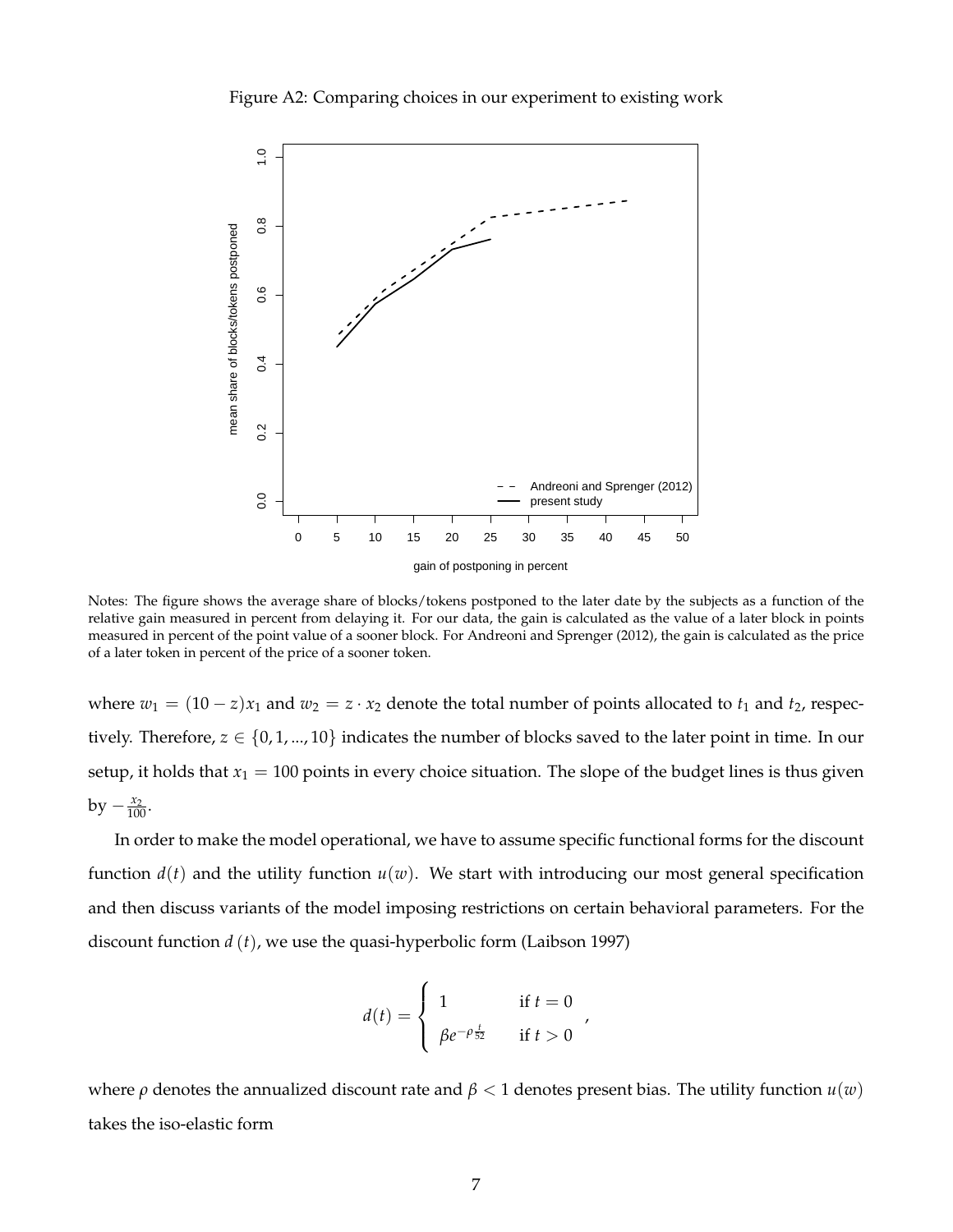



Notes: The figure shows the average share of blocks/tokens postponed to the later date by the subjects as a function of the relative gain measured in percent from delaying it. For our data, the gain is calculated as the value of a later block in points measured in percent of the point value of a sooner block. For Andreoni and Sprenger (2012), the gain is calculated as the price of a later token in percent of the price of a sooner token.

where  $w_1 = (10 - z)x_1$  and  $w_2 = z \cdot x_2$  denote the total number of points allocated to  $t_1$  and  $t_2$ , respectively. Therefore,  $z \in \{0, 1, ..., 10\}$  indicates the number of blocks saved to the later point in time. In our setup, it holds that  $x_1 = 100$  points in every choice situation. The slope of the budget lines is thus given  $by - \frac{x_2}{100}.$ 

In order to make the model operational, we have to assume specific functional forms for the discount function  $d(t)$  and the utility function  $u(w)$ . We start with introducing our most general specification and then discuss variants of the model imposing restrictions on certain behavioral parameters. For the discount function *d* (*t*), we use the quasi-hyperbolic form (Laibson 1997)

$$
d(t) = \begin{cases} 1 & \text{if } t = 0\\ \beta e^{-\rho \frac{t}{52}} & \text{if } t > 0 \end{cases}
$$

,

where  $\rho$  denotes the annualized discount rate and  $\beta$  < 1 denotes present bias. The utility function  $u(w)$ takes the iso-elastic form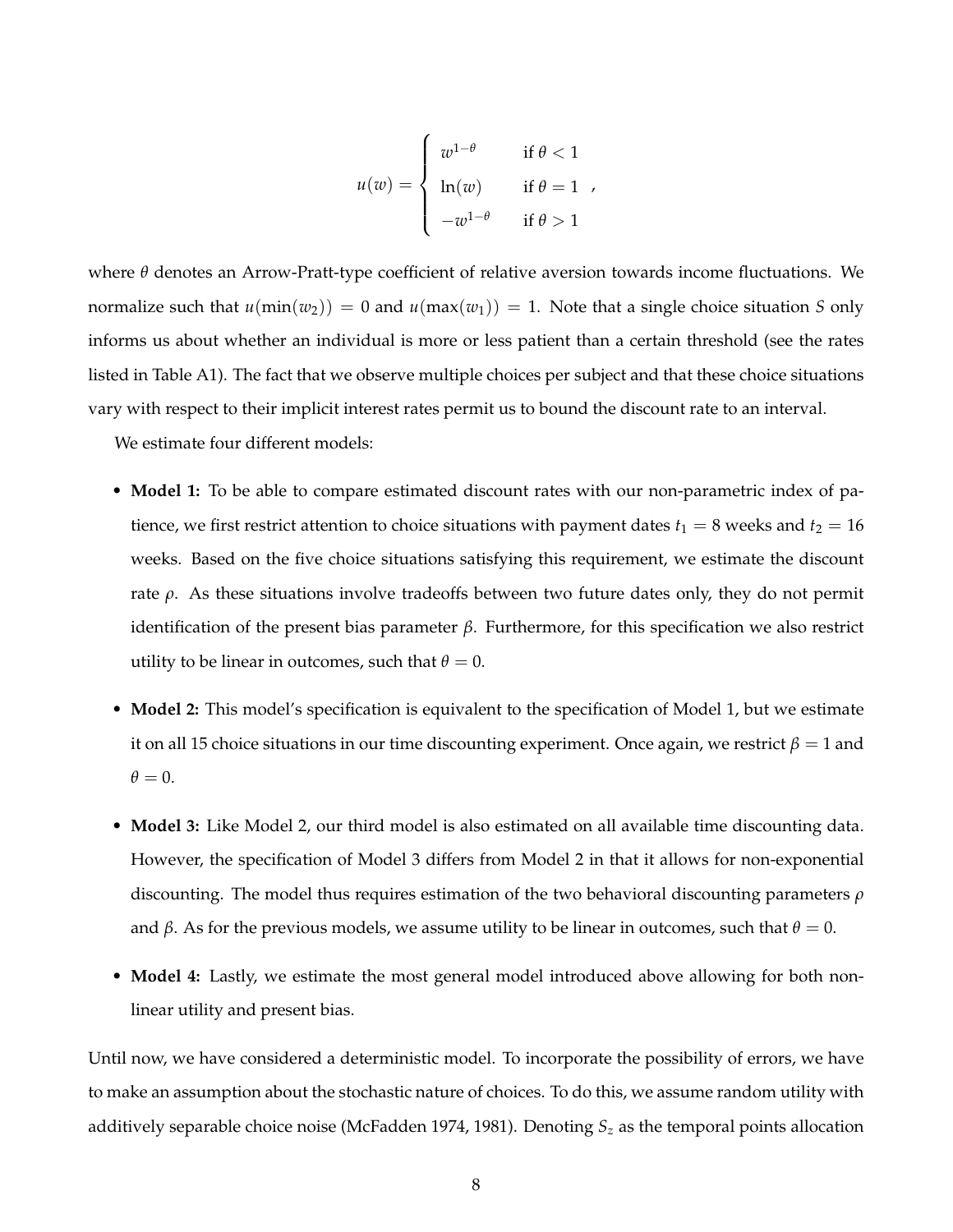$$
u(w) = \begin{cases} w^{1-\theta} & \text{if } \theta < 1 \\ \ln(w) & \text{if } \theta = 1 \\ -w^{1-\theta} & \text{if } \theta > 1 \end{cases}
$$

where *θ* denotes an Arrow-Pratt-type coefficient of relative aversion towards income fluctuations. We normalize such that  $u(\min(w_2)) = 0$  and  $u(\max(w_1)) = 1$ . Note that a single choice situation *S* only informs us about whether an individual is more or less patient than a certain threshold (see the rates listed in Table A1). The fact that we observe multiple choices per subject and that these choice situations vary with respect to their implicit interest rates permit us to bound the discount rate to an interval.

We estimate four different models:

- **Model 1:** To be able to compare estimated discount rates with our non-parametric index of patience, we first restrict attention to choice situations with payment dates  $t_1 = 8$  weeks and  $t_2 = 16$ weeks. Based on the five choice situations satisfying this requirement, we estimate the discount rate  $ρ$ . As these situations involve tradeoffs between two future dates only, they do not permit identification of the present bias parameter *β*. Furthermore, for this specification we also restrict utility to be linear in outcomes, such that  $\theta = 0$ .
- **Model 2:** This model's specification is equivalent to the specification of Model 1, but we estimate it on all 15 choice situations in our time discounting experiment. Once again, we restrict  $\beta = 1$  and  $\theta = 0$ .
- **Model 3:** Like Model 2, our third model is also estimated on all available time discounting data. However, the specification of Model 3 differs from Model 2 in that it allows for non-exponential discounting. The model thus requires estimation of the two behavioral discounting parameters *ρ* and  $\beta$ . As for the previous models, we assume utility to be linear in outcomes, such that  $\theta = 0$ .
- **Model 4:** Lastly, we estimate the most general model introduced above allowing for both nonlinear utility and present bias.

Until now, we have considered a deterministic model. To incorporate the possibility of errors, we have to make an assumption about the stochastic nature of choices. To do this, we assume random utility with additively separable choice noise (McFadden 1974, 1981). Denoting *S<sup>z</sup>* as the temporal points allocation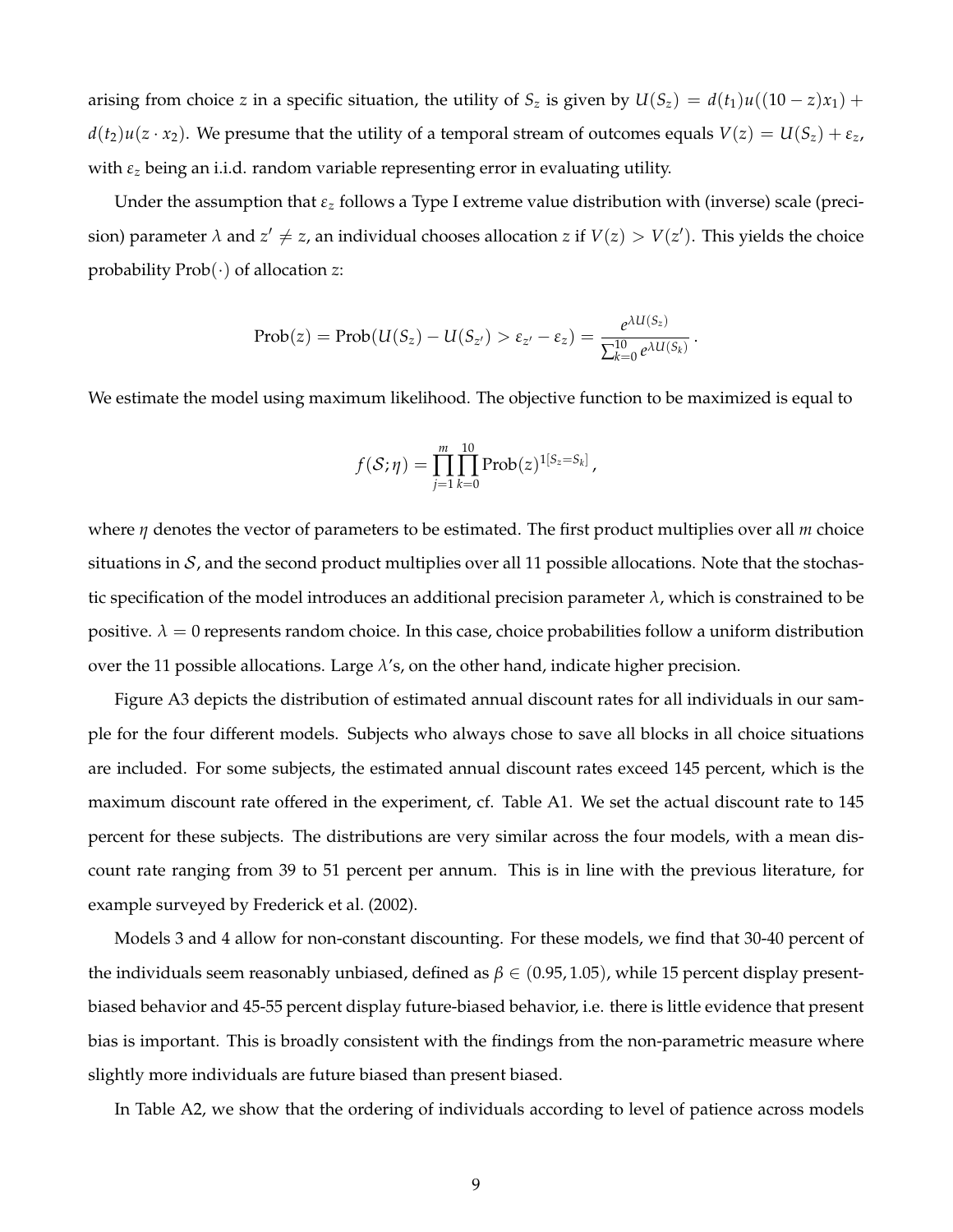arising from choice *z* in a specific situation, the utility of  $S_z$  is given by  $U(S_z) = d(t_1)u((10 - z)x_1) +$  $d(t_2)u(z \cdot x_2)$ . We presume that the utility of a temporal stream of outcomes equals  $V(z) = U(S_z) + \varepsilon_z$ , with  $\varepsilon$ <sub>z</sub> being an i.i.d. random variable representing error in evaluating utility.

Under the assumption that *ε<sup>z</sup>* follows a Type I extreme value distribution with (inverse) scale (precision) parameter  $\lambda$  and  $z' \neq z$ , an individual chooses allocation  $z$  if  $V(z) > V(z')$ . This yields the choice probability Prob(·) of allocation *z*:

$$
\mathrm{Prob}(z)=\mathrm{Prob}(U(S_z)-U(S_{z'})>\varepsilon_{z'}-\varepsilon_z)=\frac{e^{\lambda U(S_z)}}{\sum_{k=0}^{10}e^{\lambda U(S_k)}}.
$$

We estimate the model using maximum likelihood. The objective function to be maximized is equal to

$$
f(S; \eta) = \prod_{j=1}^{m} \prod_{k=0}^{10} Prob(z)^{1[S_z = S_k]},
$$

where *η* denotes the vector of parameters to be estimated. The first product multiplies over all *m* choice situations in  $S$ , and the second product multiplies over all 11 possible allocations. Note that the stochastic specification of the model introduces an additional precision parameter *λ*, which is constrained to be positive.  $\lambda = 0$  represents random choice. In this case, choice probabilities follow a uniform distribution over the 11 possible allocations. Large *λ*'s, on the other hand, indicate higher precision.

Figure A3 depicts the distribution of estimated annual discount rates for all individuals in our sample for the four different models. Subjects who always chose to save all blocks in all choice situations are included. For some subjects, the estimated annual discount rates exceed 145 percent, which is the maximum discount rate offered in the experiment, cf. Table A1. We set the actual discount rate to 145 percent for these subjects. The distributions are very similar across the four models, with a mean discount rate ranging from 39 to 51 percent per annum. This is in line with the previous literature, for example surveyed by Frederick et al. (2002).

Models 3 and 4 allow for non-constant discounting. For these models, we find that 30-40 percent of the individuals seem reasonably unbiased, defined as *β* ∈ (0.95, 1.05), while 15 percent display presentbiased behavior and 45-55 percent display future-biased behavior, i.e. there is little evidence that present bias is important. This is broadly consistent with the findings from the non-parametric measure where slightly more individuals are future biased than present biased.

In Table A2, we show that the ordering of individuals according to level of patience across models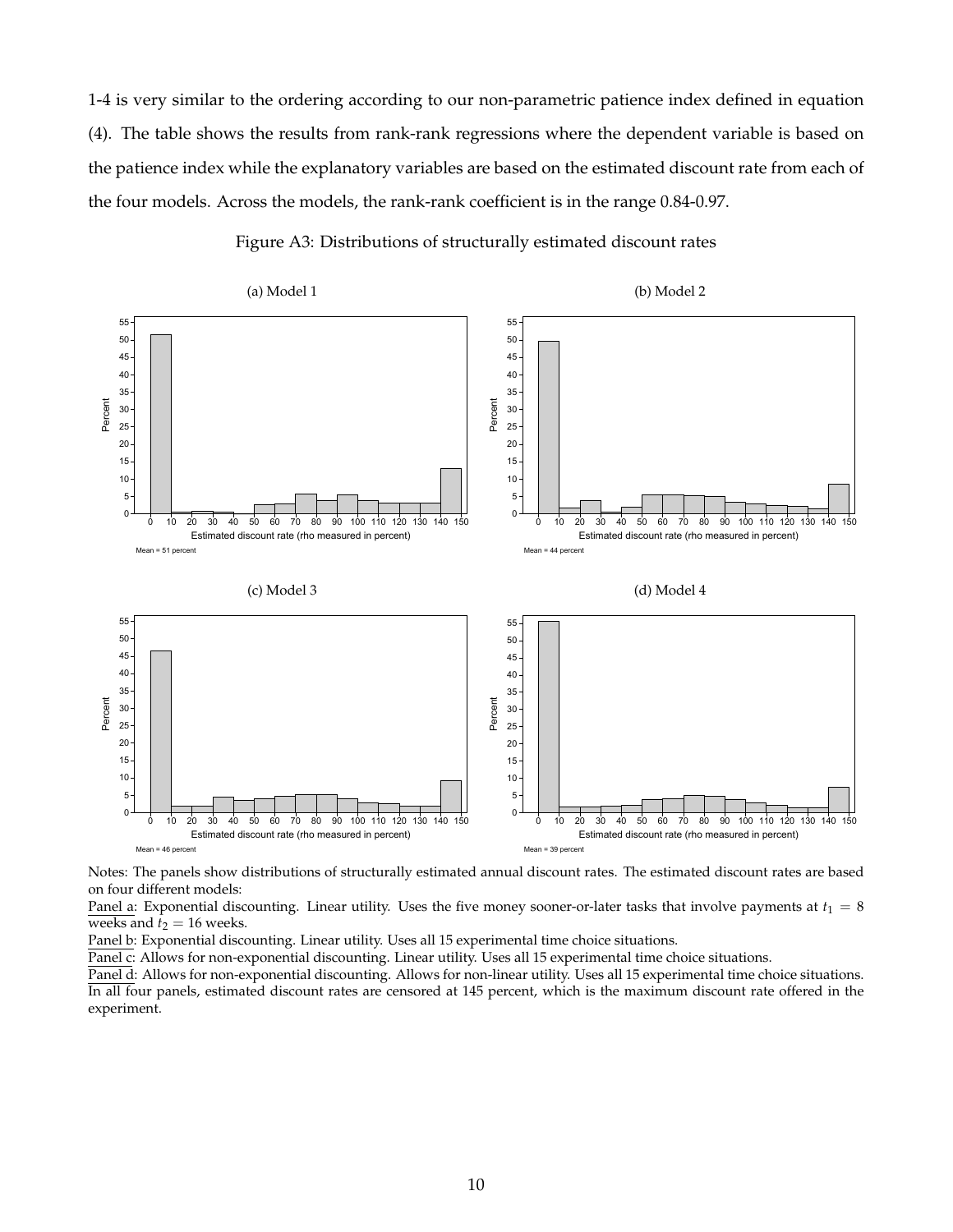1-4 is very similar to the ordering according to our non-parametric patience index defined in equation (4). The table shows the results from rank-rank regressions where the dependent variable is based on the patience index while the explanatory variables are based on the estimated discount rate from each of the four models. Across the models, the rank-rank coefficient is in the range 0.84-0.97.



Figure A3: Distributions of structurally estimated discount rates

Notes: The panels show distributions of structurally estimated annual discount rates. The estimated discount rates are based on four different models:

Panel a: Exponential discounting. Linear utility. Uses the five money sooner-or-later tasks that involve payments at  $t_1 = 8$ weeks and  $t_2 = 16$  weeks.

Panel b: Exponential discounting. Linear utility. Uses all 15 experimental time choice situations.

Panel c: Allows for non-exponential discounting. Linear utility. Uses all 15 experimental time choice situations.

Panel d: Allows for non-exponential discounting. Allows for non-linear utility. Uses all 15 experimental time choice situations. In all four panels, estimated discount rates are censored at 145 percent, which is the maximum discount rate offered in the experiment.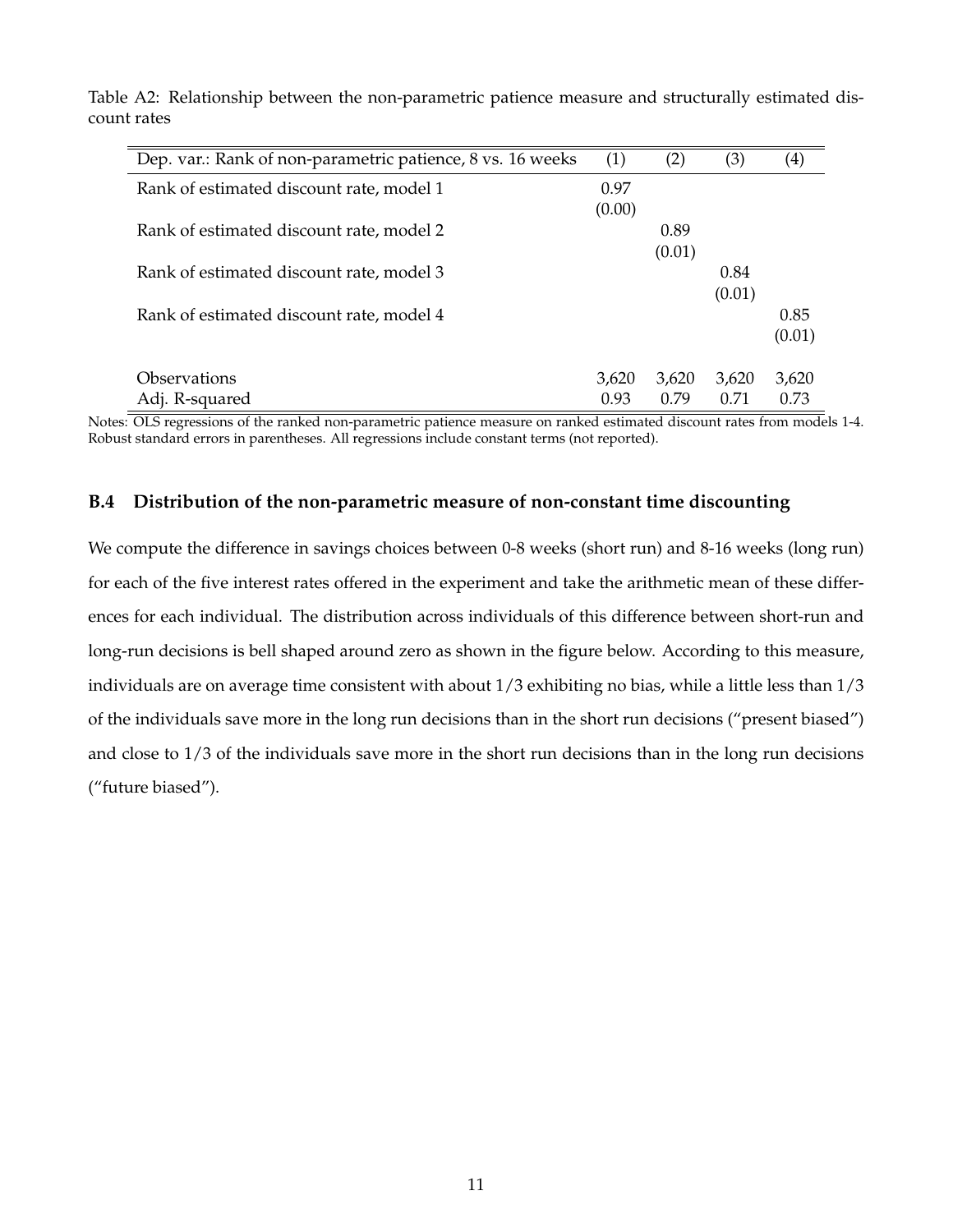| Dep. var.: Rank of non-parametric patience, 8 vs. 16 weeks | (1)    | (2)    | (3)    | $\left( 4\right)$ |
|------------------------------------------------------------|--------|--------|--------|-------------------|
| Rank of estimated discount rate, model 1                   | 0.97   |        |        |                   |
|                                                            | (0.00) |        |        |                   |
| Rank of estimated discount rate, model 2                   |        | 0.89   |        |                   |
|                                                            |        | (0.01) |        |                   |
| Rank of estimated discount rate, model 3                   |        |        | 0.84   |                   |
|                                                            |        |        | (0.01) |                   |
| Rank of estimated discount rate, model 4                   |        |        |        | 0.85              |
|                                                            |        |        |        | (0.01)            |
| Observations                                               | 3,620  | 3,620  | 3,620  | 3,620             |
| Adj. R-squared                                             | 0.93   | 0.79   | 0.71   | 0.73              |

Table A2: Relationship between the non-parametric patience measure and structurally estimated discount rates

Notes: OLS regressions of the ranked non-parametric patience measure on ranked estimated discount rates from models 1-4. Robust standard errors in parentheses. All regressions include constant terms (not reported).

#### **B.4 Distribution of the non-parametric measure of non-constant time discounting**

We compute the difference in savings choices between 0-8 weeks (short run) and 8-16 weeks (long run) for each of the five interest rates offered in the experiment and take the arithmetic mean of these differences for each individual. The distribution across individuals of this difference between short-run and long-run decisions is bell shaped around zero as shown in the figure below. According to this measure, individuals are on average time consistent with about 1/3 exhibiting no bias, while a little less than 1/3 of the individuals save more in the long run decisions than in the short run decisions ("present biased") and close to 1/3 of the individuals save more in the short run decisions than in the long run decisions ("future biased").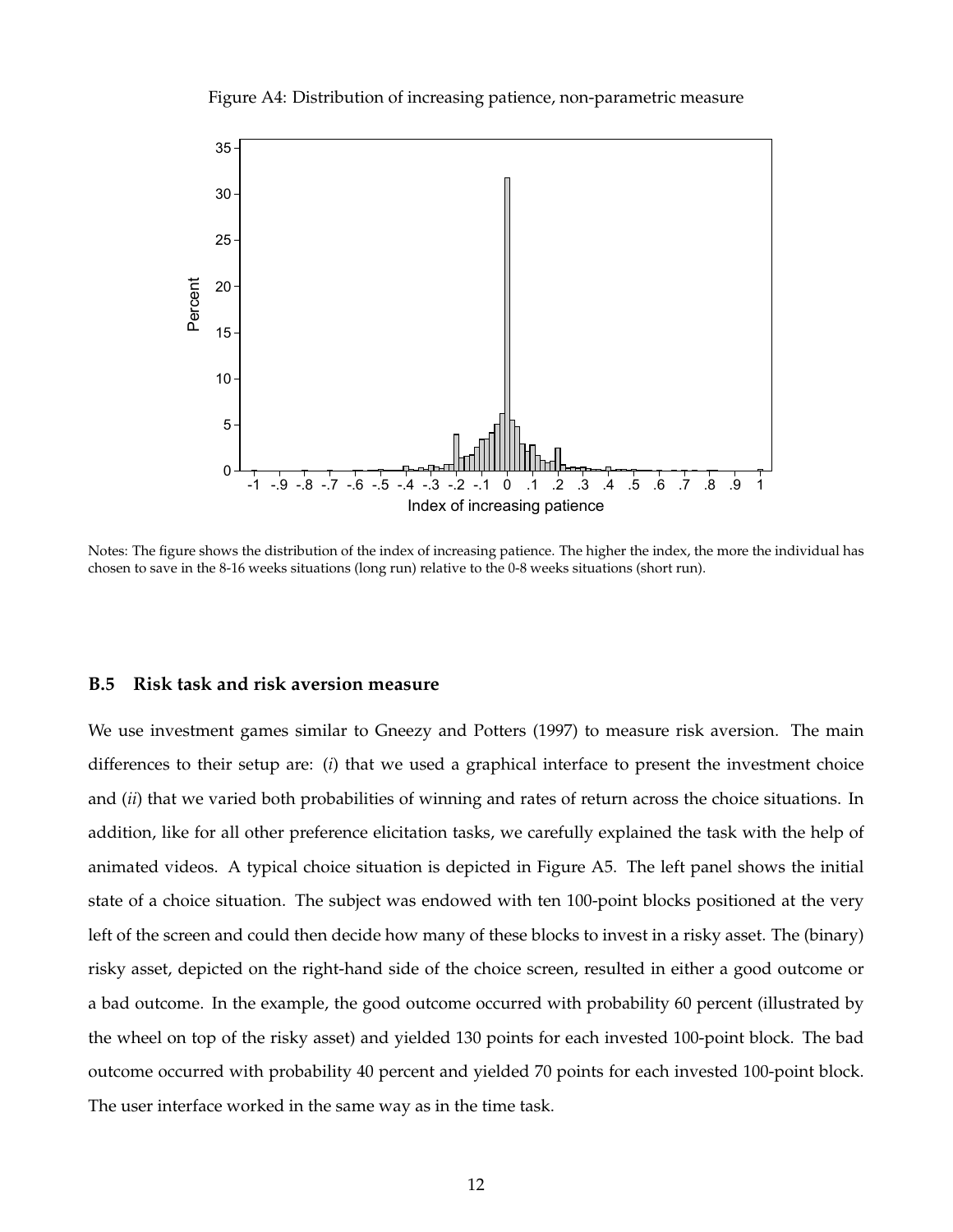Figure A4: Distribution of increasing patience, non-parametric measure



Notes: The figure shows the distribution of the index of increasing patience. The higher the index, the more the individual has chosen to save in the 8-16 weeks situations (long run) relative to the 0-8 weeks situations (short run).

#### **B.5 Risk task and risk aversion measure**

We use investment games similar to Gneezy and Potters (1997) to measure risk aversion. The main differences to their setup are: (*i*) that we used a graphical interface to present the investment choice and (*ii*) that we varied both probabilities of winning and rates of return across the choice situations. In addition, like for all other preference elicitation tasks, we carefully explained the task with the help of animated videos. A typical choice situation is depicted in Figure A5. The left panel shows the initial state of a choice situation. The subject was endowed with ten 100-point blocks positioned at the very left of the screen and could then decide how many of these blocks to invest in a risky asset. The (binary) risky asset, depicted on the right-hand side of the choice screen, resulted in either a good outcome or a bad outcome. In the example, the good outcome occurred with probability 60 percent (illustrated by the wheel on top of the risky asset) and yielded 130 points for each invested 100-point block. The bad outcome occurred with probability 40 percent and yielded 70 points for each invested 100-point block. The user interface worked in the same way as in the time task.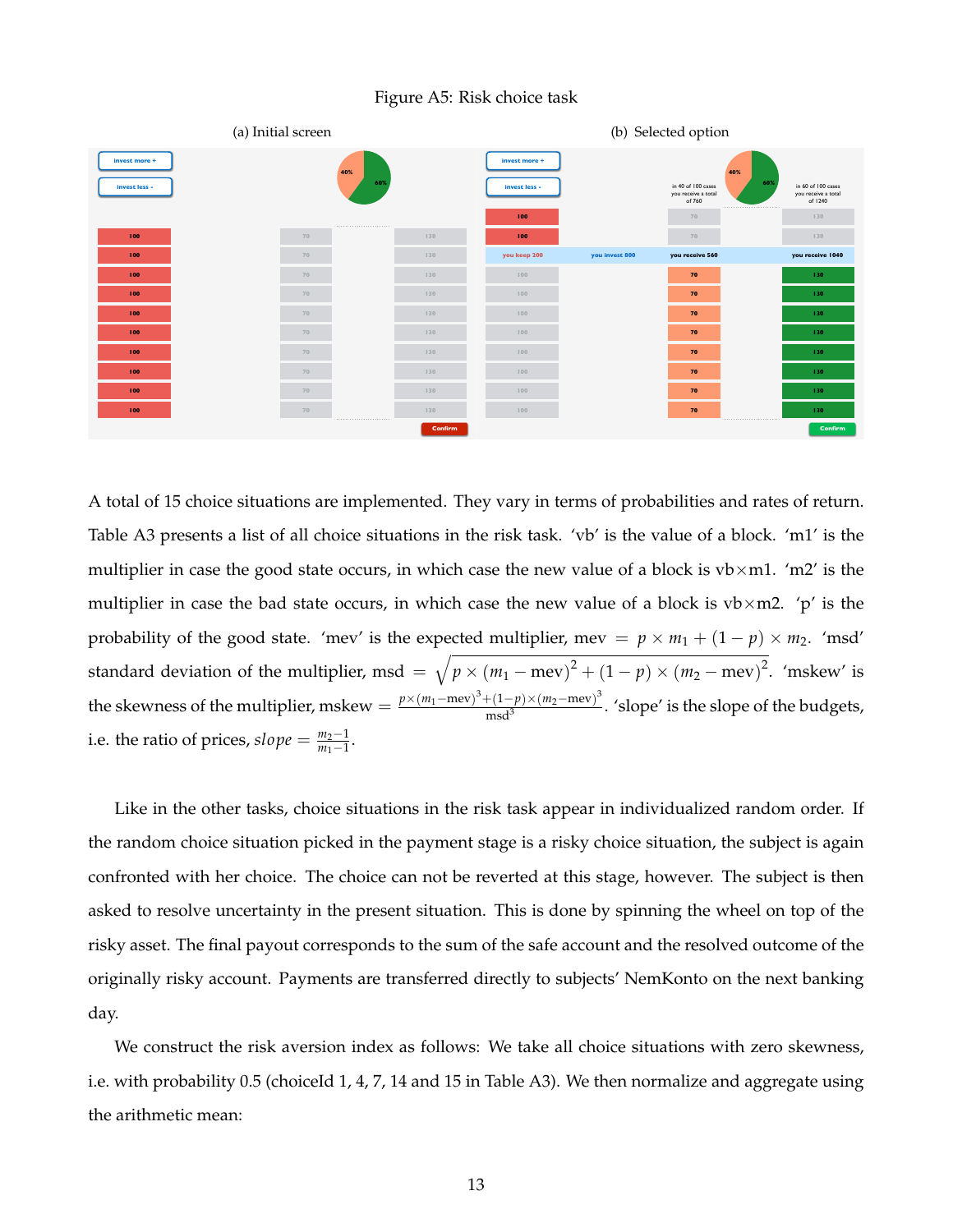Figure A5: Risk choice task



A total of 15 choice situations are implemented. They vary in terms of probabilities and rates of return. Table A3 presents a list of all choice situations in the risk task. 'vb' is the value of a block. 'm1' is the multiplier in case the good state occurs, in which case the new value of a block is  $vb \times ml$ . 'm2' is the multiplier in case the bad state occurs, in which case the new value of a block is  $vb \times m2$ . 'p' is the probability of the good state. 'mev' is the expected multiplier, mev =  $p \times m_1 + (1 - p) \times m_2$ . 'msd' standard deviation of the multiplier, msd =  $\sqrt{p \times (m_1 - \text{mev})^2 + (1 - p) \times (m_2 - \text{mev})^2}$ . 'mskew' is the skewness of the multiplier, mskew =  $\frac{p \times (m_1 - \text{mev})^3 + (1-p) \times (m_2 - \text{mev})^3}{mq^3}$  $\frac{\text{m}(\text{1}-p)\times(m_2-\text{mev})}{\text{msd}^3}$ . 'slope' is the slope of the budgets, i.e. the ratio of prices*, slope* =  $\frac{m_2-1}{m_1-1}$  $\frac{m_2-1}{m_1-1}$ .

Like in the other tasks, choice situations in the risk task appear in individualized random order. If the random choice situation picked in the payment stage is a risky choice situation, the subject is again confronted with her choice. The choice can not be reverted at this stage, however. The subject is then asked to resolve uncertainty in the present situation. This is done by spinning the wheel on top of the risky asset. The final payout corresponds to the sum of the safe account and the resolved outcome of the originally risky account. Payments are transferred directly to subjects' NemKonto on the next banking day.

We construct the risk aversion index as follows: We take all choice situations with zero skewness, i.e. with probability 0.5 (choiceId 1, 4, 7, 14 and 15 in Table A3). We then normalize and aggregate using the arithmetic mean: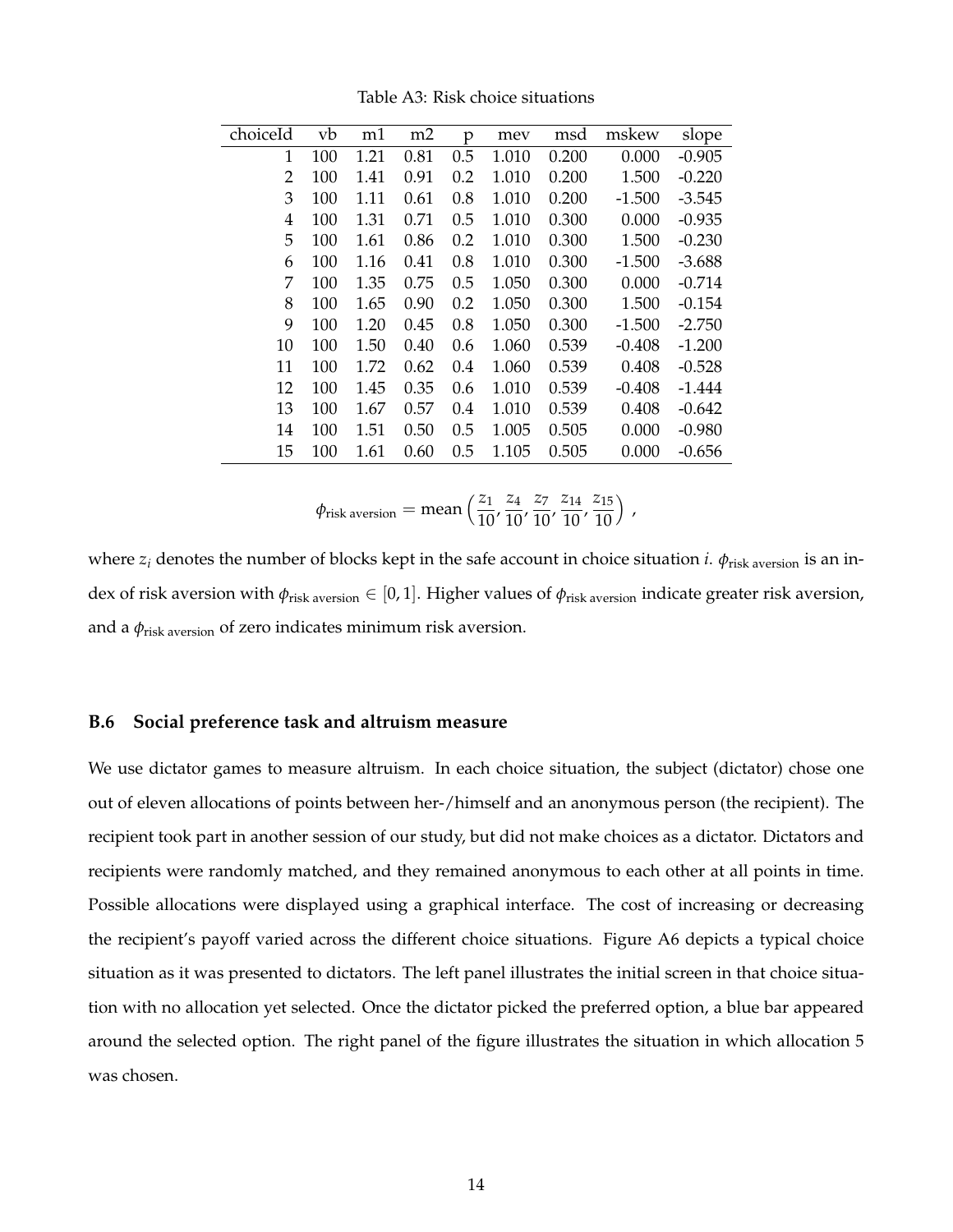| choiceId | vb  | m1   | m2   | p   | mev   | msd   | mskew    | slope    |
|----------|-----|------|------|-----|-------|-------|----------|----------|
| 1        | 100 | 1.21 | 0.81 | 0.5 | 1.010 | 0.200 | 0.000    | $-0.905$ |
| 2        | 100 | 1.41 | 0.91 | 0.2 | 1.010 | 0.200 | 1.500    | $-0.220$ |
| 3        | 100 | 1.11 | 0.61 | 0.8 | 1.010 | 0.200 | $-1.500$ | $-3.545$ |
| 4        | 100 | 1.31 | 0.71 | 0.5 | 1.010 | 0.300 | 0.000    | $-0.935$ |
| 5        | 100 | 1.61 | 0.86 | 0.2 | 1.010 | 0.300 | 1.500    | $-0.230$ |
| 6        | 100 | 1.16 | 0.41 | 0.8 | 1.010 | 0.300 | $-1.500$ | $-3.688$ |
| 7        | 100 | 1.35 | 0.75 | 0.5 | 1.050 | 0.300 | 0.000    | $-0.714$ |
| 8        | 100 | 1.65 | 0.90 | 0.2 | 1.050 | 0.300 | 1.500    | $-0.154$ |
| 9        | 100 | 1.20 | 0.45 | 0.8 | 1.050 | 0.300 | $-1.500$ | $-2.750$ |
| 10       | 100 | 1.50 | 0.40 | 0.6 | 1.060 | 0.539 | $-0.408$ | $-1.200$ |
| 11       | 100 | 1.72 | 0.62 | 0.4 | 1.060 | 0.539 | 0.408    | $-0.528$ |
| 12       | 100 | 1.45 | 0.35 | 0.6 | 1.010 | 0.539 | $-0.408$ | $-1.444$ |
| 13       | 100 | 1.67 | 0.57 | 0.4 | 1.010 | 0.539 | 0.408    | $-0.642$ |
| 14       | 100 | 1.51 | 0.50 | 0.5 | 1.005 | 0.505 | 0.000    | $-0.980$ |
| 15       | 100 | 1.61 | 0.60 | 0.5 | 1.105 | 0.505 | 0.000    | $-0.656$ |
|          |     |      |      |     |       |       |          |          |

Table A3: Risk choice situations

$$
\phi_{\text{risk aversion}} = \text{mean}\left(\frac{z_1}{10}, \frac{z_4}{10}, \frac{z_7}{10}, \frac{z_{14}}{10}, \frac{z_{15}}{10}\right),
$$

where  $z_i$  denotes the number of blocks kept in the safe account in choice situation *i*.  $\phi$ <sub>risk aversion</sub> is an index of risk aversion with *φ*risk aversion ∈ [0, 1]. Higher values of *φ*risk aversion indicate greater risk aversion, and a *φ*risk aversion of zero indicates minimum risk aversion.

#### **B.6 Social preference task and altruism measure**

We use dictator games to measure altruism. In each choice situation, the subject (dictator) chose one out of eleven allocations of points between her-/himself and an anonymous person (the recipient). The recipient took part in another session of our study, but did not make choices as a dictator. Dictators and recipients were randomly matched, and they remained anonymous to each other at all points in time. Possible allocations were displayed using a graphical interface. The cost of increasing or decreasing the recipient's payoff varied across the different choice situations. Figure A6 depicts a typical choice situation as it was presented to dictators. The left panel illustrates the initial screen in that choice situation with no allocation yet selected. Once the dictator picked the preferred option, a blue bar appeared around the selected option. The right panel of the figure illustrates the situation in which allocation 5 was chosen.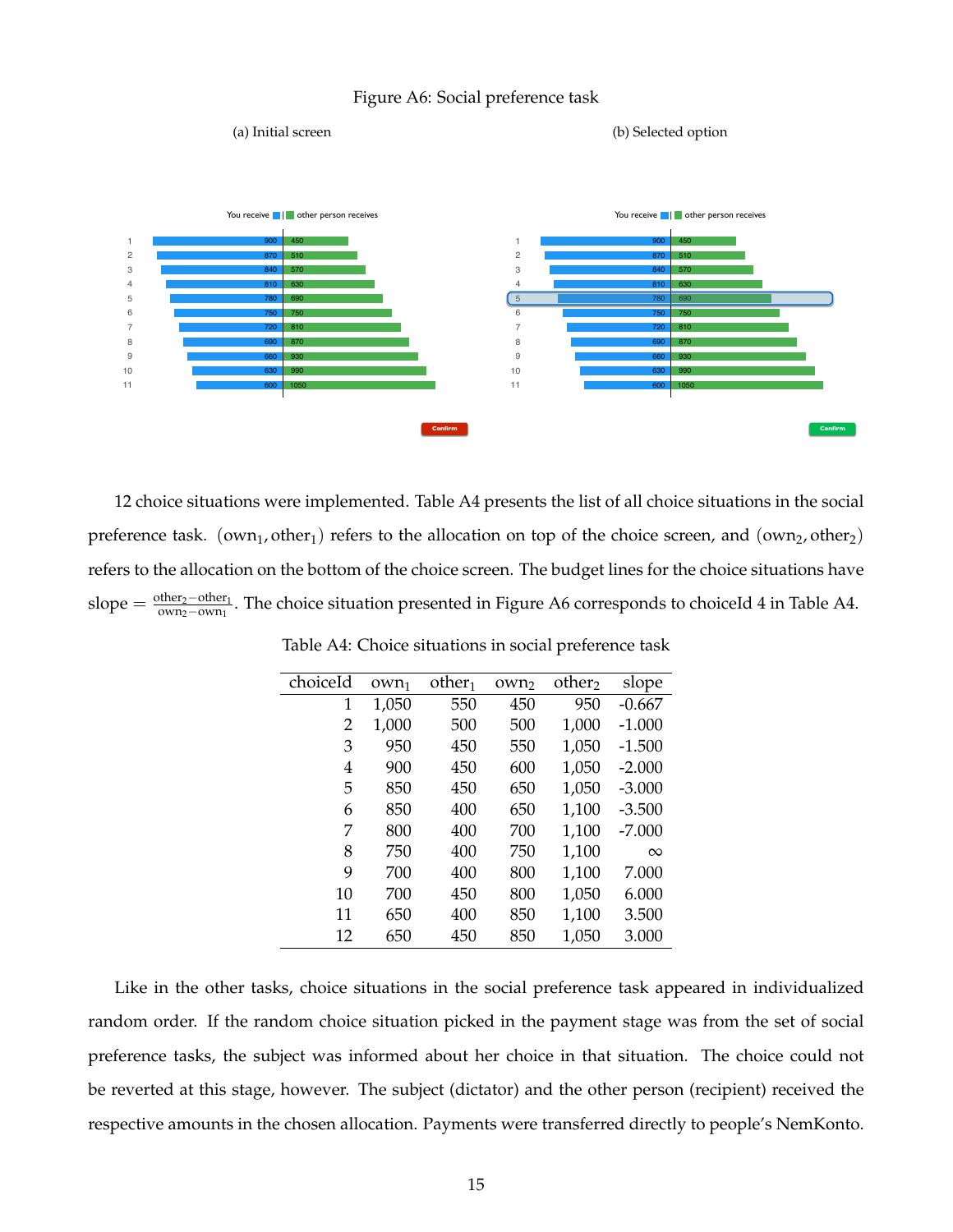



12 choice situations were implemented. Table A4 presents the list of all choice situations in the social preference task. (own<sub>1</sub>, other<sub>1</sub>) refers to the allocation on top of the choice screen, and (own<sub>2</sub>, other<sub>2</sub>) refers to the allocation on the bottom of the choice screen. The budget lines for the choice situations have slope  $=\frac{\text{other}_2-\text{other}_1}{\text{own}_2-\text{own}_1}$ <u><sup>omer<sub>2</sub>−omer<sub>1</sub></u>. The choice situation presented in Figure A6 corresponds to choiceId 4 in Table A4.</u></sup>

| $0$ <sub>Vn1</sub> | other <sub>1</sub> | own <sub>2</sub> | other <sub>2</sub> | slope    |
|--------------------|--------------------|------------------|--------------------|----------|
| 1,050              | 550                | 450              | 950                | $-0.667$ |
| 1,000              | 500                | 500              | 1,000              | $-1.000$ |
| 950                | 450                | 550              | 1,050              | $-1.500$ |
| 900                | 450                | 600              | 1,050              | $-2.000$ |
| 850                | 450                | 650              | 1,050              | $-3.000$ |
| 850                | 400                | 650              | 1,100              | $-3.500$ |
| 800                | 400                | 700              | 1,100              | $-7.000$ |
| 750                | 400                | 750              | 1,100              | $\infty$ |
| 700                | 400                | 800              | 1,100              | 7.000    |
| 700                | 450                | 800              | 1,050              | 6.000    |
| 650                | 400                | 850              | 1,100              | 3.500    |
| 650                | 450                | 850              | 1,050              | 3.000    |
|                    |                    |                  |                    |          |

Table A4: Choice situations in social preference task

Like in the other tasks, choice situations in the social preference task appeared in individualized random order. If the random choice situation picked in the payment stage was from the set of social preference tasks, the subject was informed about her choice in that situation. The choice could not be reverted at this stage, however. The subject (dictator) and the other person (recipient) received the respective amounts in the chosen allocation. Payments were transferred directly to people's NemKonto.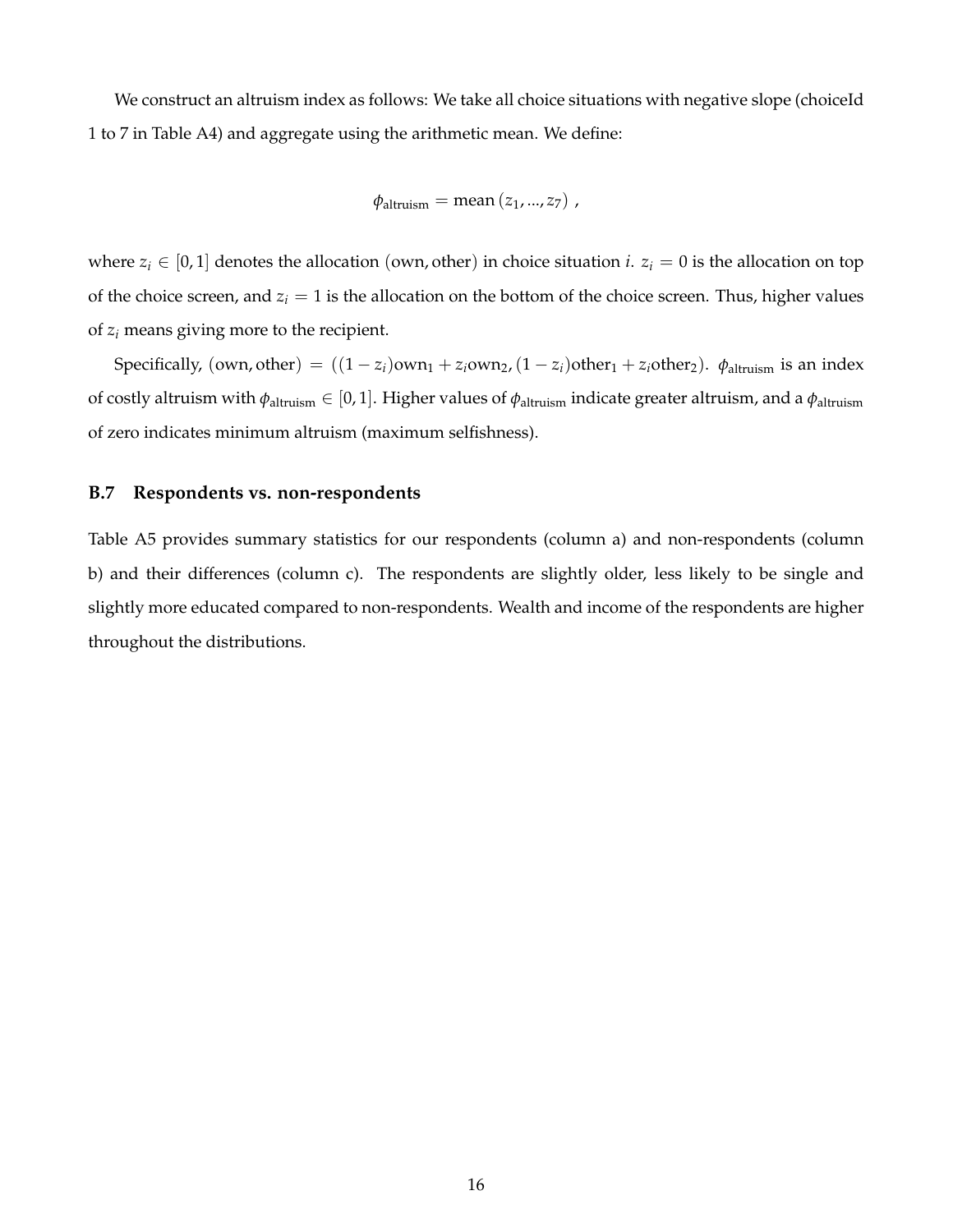We construct an altruism index as follows: We take all choice situations with negative slope (choiceId 1 to 7 in Table A4) and aggregate using the arithmetic mean. We define:

$$
\phi_{\text{altruism}} = \text{mean}(z_1, ..., z_7) ,
$$

where  $z_i \in [0, 1]$  denotes the allocation (own, other) in choice situation *i*.  $z_i = 0$  is the allocation on top of the choice screen, and  $z_i = 1$  is the allocation on the bottom of the choice screen. Thus, higher values of *z<sup>i</sup>* means giving more to the recipient.

Specifically, (own, other) =  $((1 - z_i)$ own<sub>1</sub> +  $z_i$ own<sub>2</sub>,  $(1 - z_i)$ other<sub>1</sub> +  $z_i$ other<sub>2</sub>).  $\phi$ <sub>altruism</sub> is an index of costly altruism with *φ*altruism ∈ [0, 1]. Higher values of *φ*altruism indicate greater altruism, and a *φ*altruism of zero indicates minimum altruism (maximum selfishness).

#### **B.7 Respondents vs. non-respondents**

Table A5 provides summary statistics for our respondents (column a) and non-respondents (column b) and their differences (column c). The respondents are slightly older, less likely to be single and slightly more educated compared to non-respondents. Wealth and income of the respondents are higher throughout the distributions.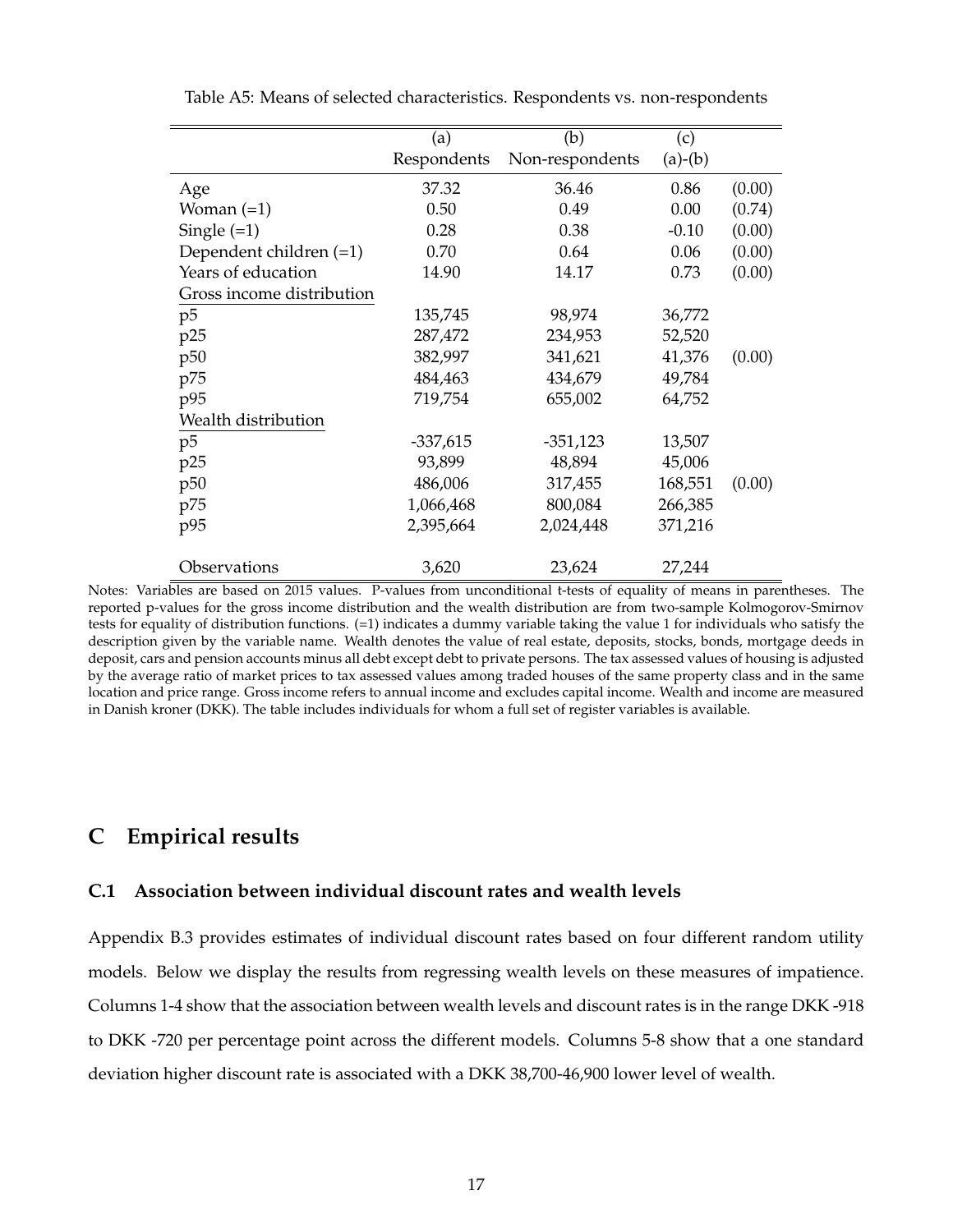|                           | (a)         | (b)             | (c)       |        |
|---------------------------|-------------|-----------------|-----------|--------|
|                           | Respondents | Non-respondents | $(a)-(b)$ |        |
| Age                       | 37.32       | 36.46           | 0.86      | (0.00) |
| Woman $(=1)$              | 0.50        | 0.49            | 0.00      | (0.74) |
| Single $(=1)$             | 0.28        | 0.38            | $-0.10$   | (0.00) |
| Dependent children $(=1)$ | 0.70        | 0.64            | 0.06      | (0.00) |
| Years of education        | 14.90       | 14.17           | 0.73      | (0.00) |
| Gross income distribution |             |                 |           |        |
| p5                        | 135,745     | 98,974          | 36,772    |        |
| p25                       | 287,472     | 234,953         | 52,520    |        |
| p50                       | 382,997     | 341,621         | 41,376    | (0.00) |
| p75                       | 484,463     | 434,679         | 49,784    |        |
| p95                       | 719,754     | 655,002         | 64,752    |        |
| Wealth distribution       |             |                 |           |        |
| p5                        | $-337,615$  | $-351,123$      | 13,507    |        |
| p25                       | 93,899      | 48,894          | 45,006    |        |
| p50                       | 486,006     | 317,455         | 168,551   | (0.00) |
| p75                       | 1,066,468   | 800,084         | 266,385   |        |
| p95                       | 2,395,664   | 2,024,448       | 371,216   |        |
| Observations              | 3,620       | 23,624          | 27,244    |        |

Table A5: Means of selected characteristics. Respondents vs. non-respondents

Notes: Variables are based on 2015 values. P-values from unconditional t-tests of equality of means in parentheses. The reported p-values for the gross income distribution and the wealth distribution are from two-sample Kolmogorov-Smirnov tests for equality of distribution functions. (=1) indicates a dummy variable taking the value 1 for individuals who satisfy the description given by the variable name. Wealth denotes the value of real estate, deposits, stocks, bonds, mortgage deeds in deposit, cars and pension accounts minus all debt except debt to private persons. The tax assessed values of housing is adjusted by the average ratio of market prices to tax assessed values among traded houses of the same property class and in the same location and price range. Gross income refers to annual income and excludes capital income. Wealth and income are measured in Danish kroner (DKK). The table includes individuals for whom a full set of register variables is available.

### **C Empirical results**

#### **C.1 Association between individual discount rates and wealth levels**

Appendix B.3 provides estimates of individual discount rates based on four different random utility models. Below we display the results from regressing wealth levels on these measures of impatience. Columns 1-4 show that the association between wealth levels and discount rates is in the range DKK -918 to DKK -720 per percentage point across the different models. Columns 5-8 show that a one standard deviation higher discount rate is associated with a DKK 38,700-46,900 lower level of wealth.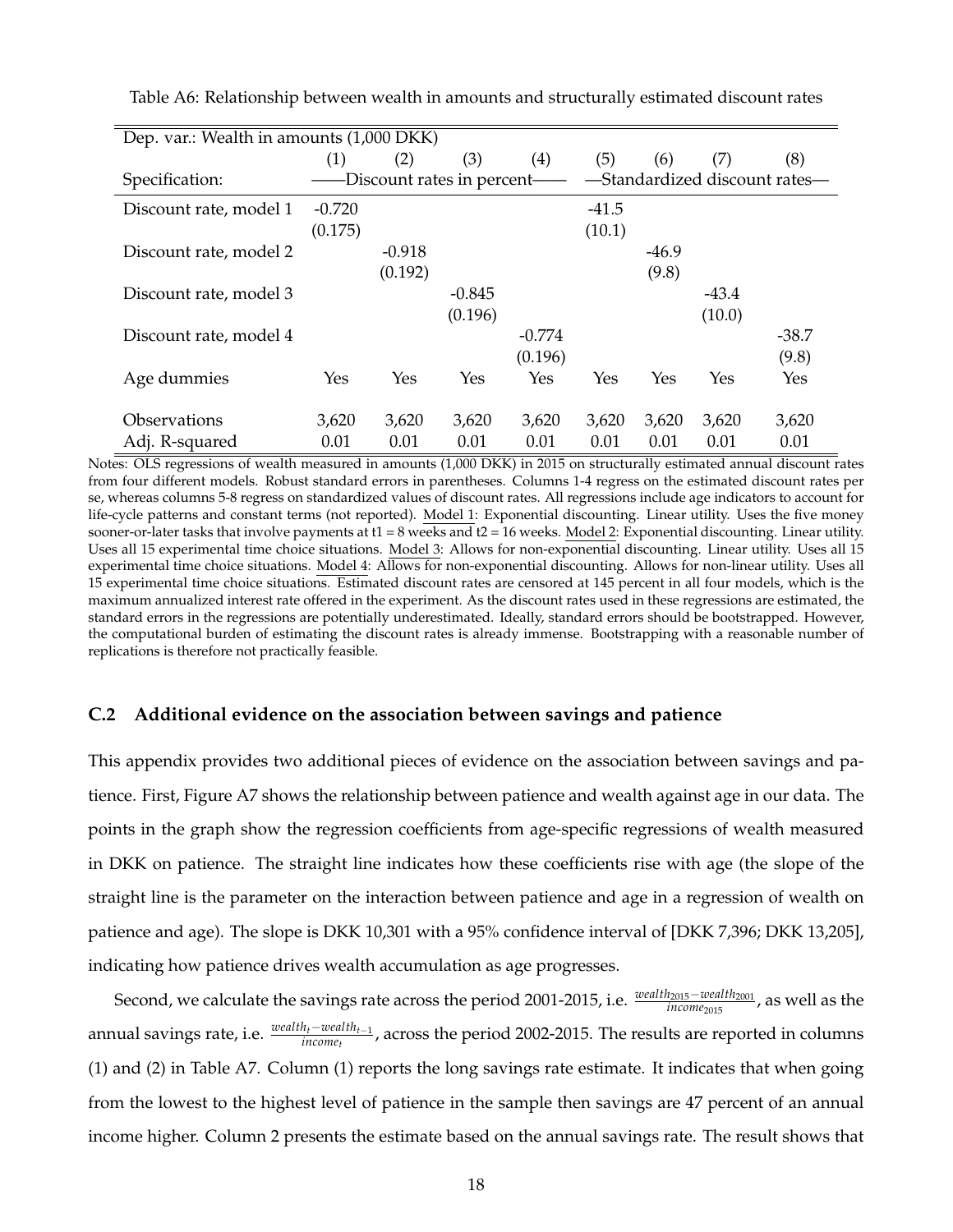| Dep. var.: Wealth in amounts (1,000 DKK) |          |          |                             |          |         |         |         |                               |
|------------------------------------------|----------|----------|-----------------------------|----------|---------|---------|---------|-------------------------------|
|                                          | (1)      | (2)      | (3)                         | (4)      | (5)     | (6)     | (7)     | (8)                           |
| Specification:                           |          |          | -Discount rates in percent- |          |         |         |         | -Standardized discount rates- |
| Discount rate, model 1                   | $-0.720$ |          |                             |          | $-41.5$ |         |         |                               |
|                                          | (0.175)  |          |                             |          | (10.1)  |         |         |                               |
| Discount rate, model 2                   |          | $-0.918$ |                             |          |         | $-46.9$ |         |                               |
|                                          |          | (0.192)  |                             |          |         | (9.8)   |         |                               |
| Discount rate, model 3                   |          |          | $-0.845$                    |          |         |         | $-43.4$ |                               |
|                                          |          |          | (0.196)                     |          |         |         | (10.0)  |                               |
| Discount rate, model 4                   |          |          |                             | $-0.774$ |         |         |         | $-38.7$                       |
|                                          |          |          |                             | (0.196)  |         |         |         | (9.8)                         |
| Age dummies                              | Yes      | Yes      | Yes                         | Yes      | Yes     | Yes     | Yes     | Yes                           |
| Observations                             | 3,620    | 3,620    | 3,620                       | 3,620    | 3,620   | 3,620   | 3,620   | 3,620                         |
| Adj. R-squared                           | 0.01     | 0.01     | 0.01                        | 0.01     | 0.01    | 0.01    | 0.01    | 0.01                          |

Table A6: Relationship between wealth in amounts and structurally estimated discount rates

Notes: OLS regressions of wealth measured in amounts (1,000 DKK) in 2015 on structurally estimated annual discount rates from four different models. Robust standard errors in parentheses. Columns 1-4 regress on the estimated discount rates per se, whereas columns 5-8 regress on standardized values of discount rates. All regressions include age indicators to account for life-cycle patterns and constant terms (not reported). Model 1: Exponential discounting. Linear utility. Uses the five money sooner-or-later tasks that involve payments at  $t1 = 8$  weeks and  $t2 = 16$  weeks. Model 2: Exponential discounting. Linear utility. Uses all 15 experimental time choice situations. Model 3: Allows for non-exponential discounting. Linear utility. Uses all 15 experimental time choice situations. Model 4: Allows for non-exponential discounting. Allows for non-linear utility. Uses all 15 experimental time choice situations. Estimated discount rates are censored at 145 percent in all four models, which is the maximum annualized interest rate offered in the experiment. As the discount rates used in these regressions are estimated, the standard errors in the regressions are potentially underestimated. Ideally, standard errors should be bootstrapped. However, the computational burden of estimating the discount rates is already immense. Bootstrapping with a reasonable number of replications is therefore not practically feasible.

#### **C.2 Additional evidence on the association between savings and patience**

This appendix provides two additional pieces of evidence on the association between savings and patience. First, Figure A7 shows the relationship between patience and wealth against age in our data. The points in the graph show the regression coefficients from age-specific regressions of wealth measured in DKK on patience. The straight line indicates how these coefficients rise with age (the slope of the straight line is the parameter on the interaction between patience and age in a regression of wealth on patience and age). The slope is DKK 10,301 with a 95% confidence interval of [DKK 7,396; DKK 13,205], indicating how patience drives wealth accumulation as age progresses.

Second, we calculate the savings rate across the period 2001-2015, i.e.  $\frac{weak_{2015}-weak_{2001}}{incomp_{2015}}$ , as well as the annual savings rate, i.e. *wealtht*−*wealtht*−<sup>1</sup> *income<sup>t</sup>* , across the period 2002-2015. The results are reported in columns (1) and (2) in Table A7. Column (1) reports the long savings rate estimate. It indicates that when going from the lowest to the highest level of patience in the sample then savings are 47 percent of an annual income higher. Column 2 presents the estimate based on the annual savings rate. The result shows that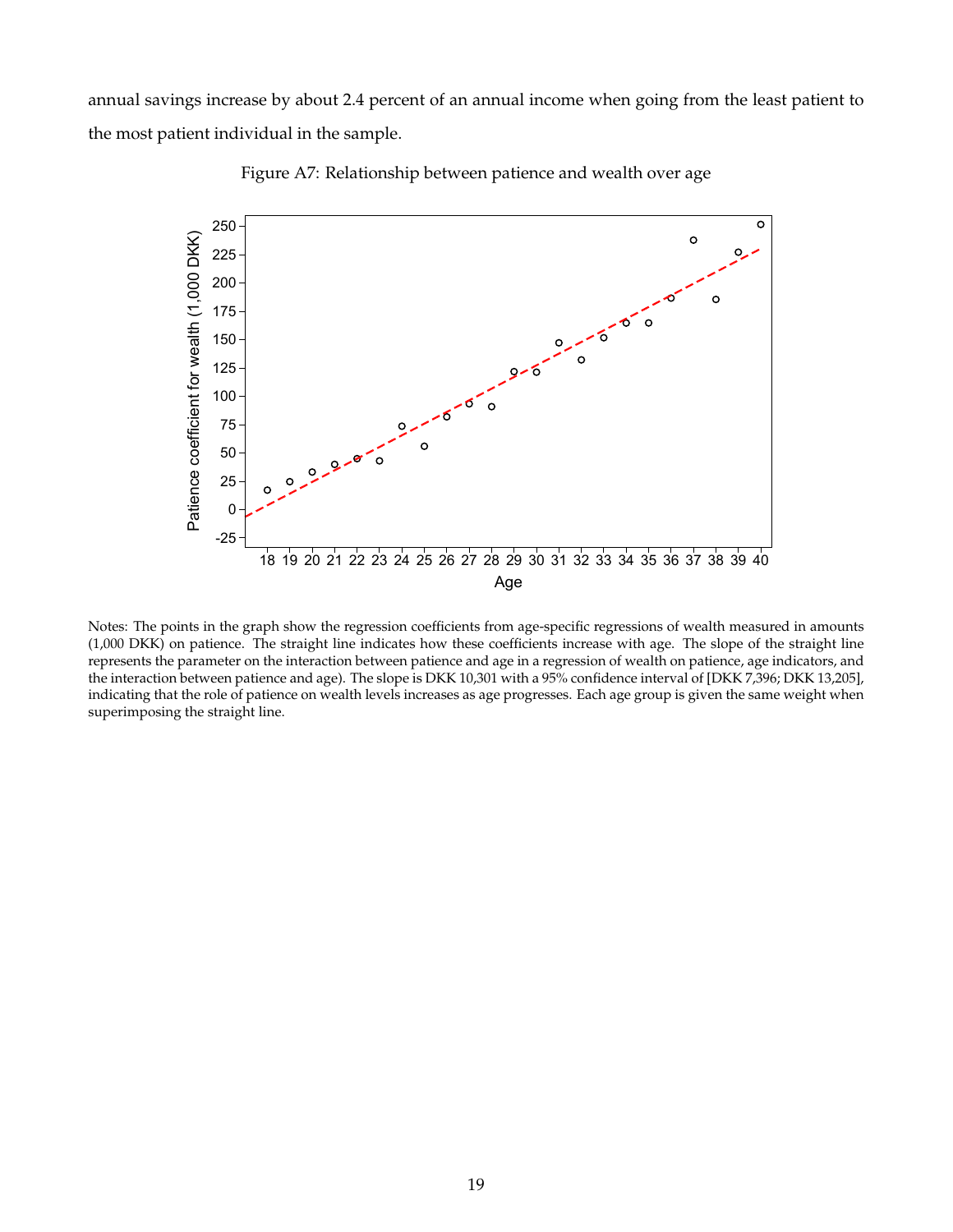annual savings increase by about 2.4 percent of an annual income when going from the least patient to the most patient individual in the sample.



Figure A7: Relationship between patience and wealth over age

Notes: The points in the graph show the regression coefficients from age-specific regressions of wealth measured in amounts (1,000 DKK) on patience. The straight line indicates how these coefficients increase with age. The slope of the straight line represents the parameter on the interaction between patience and age in a regression of wealth on patience, age indicators, and the interaction between patience and age). The slope is DKK 10,301 with a 95% confidence interval of [DKK 7,396; DKK 13,205], indicating that the role of patience on wealth levels increases as age progresses. Each age group is given the same weight when superimposing the straight line.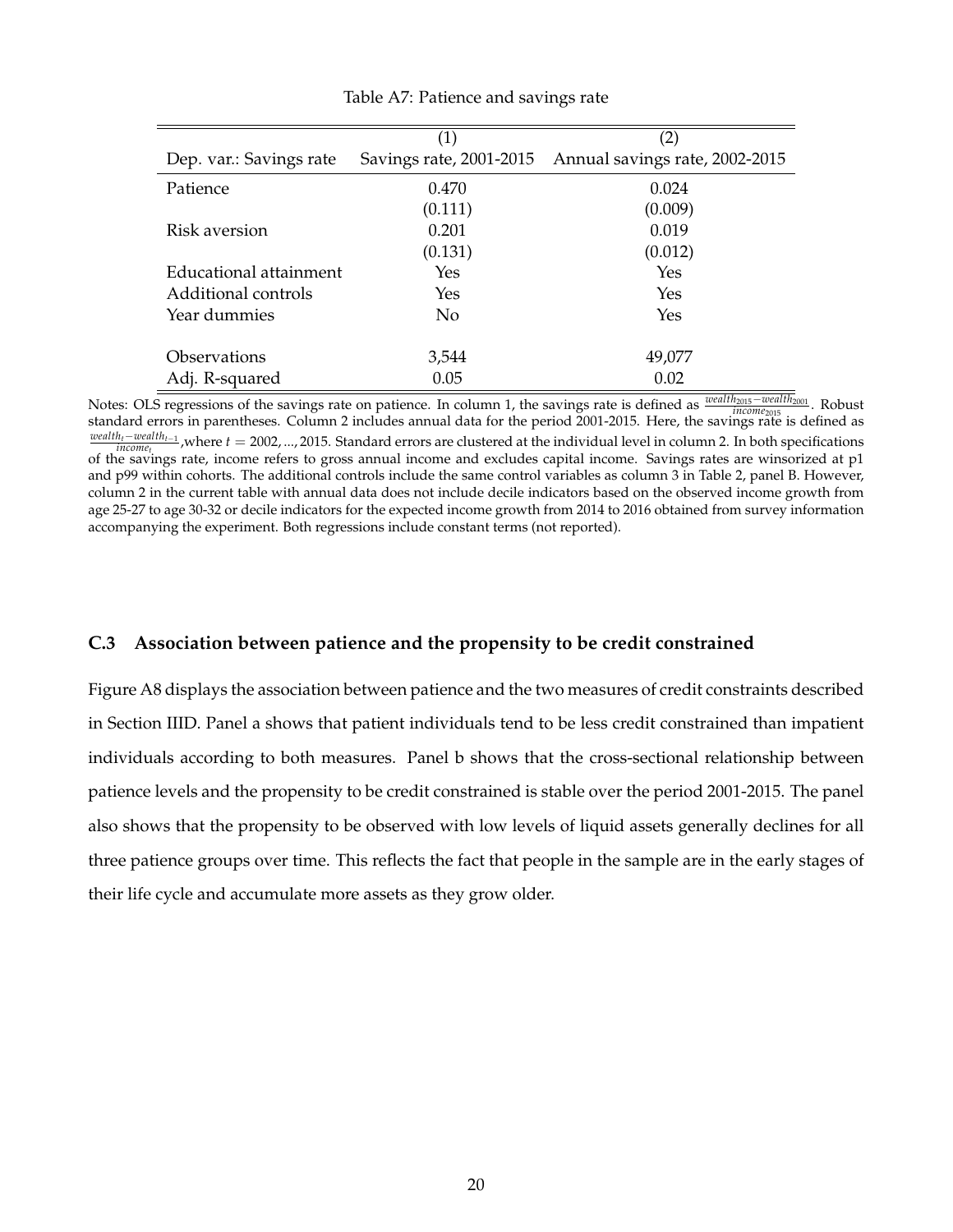|                         | (1)                     | (2)                            |
|-------------------------|-------------------------|--------------------------------|
| Dep. var.: Savings rate | Savings rate, 2001-2015 | Annual savings rate, 2002-2015 |
| Patience                | 0.470                   | 0.024                          |
|                         | (0.111)                 | (0.009)                        |
| Risk aversion           | 0.201                   | 0.019                          |
|                         | (0.131)                 | (0.012)                        |
| Educational attainment  | Yes                     | Yes                            |
| Additional controls     | Yes                     | Yes                            |
| Year dummies            | N <sub>o</sub>          | Yes                            |
|                         |                         |                                |
| Observations            | 3,544                   | 49,077                         |
| Adj. R-squared          | 0.05                    | 0.02                           |

Table A7: Patience and savings rate

Notes: OLS regressions of the savings rate on patience. In column 1, the savings rate is defined as *wealth<sub>2015</sub>* – *wealth<sub>2015</sub>* – *kobust* standard errors in parentheses. Column 2 includes annual data for the period 2001-2015. Here, the savings rate is defined as *wealth<sub>t</sub>*−*wealth<sub>t</sub>*−1</sup>, where *t* = 2002, ..., 2015. Standard errors are clustered at the individual level in column 2. In both specifications of the savings rate, income refers to gross annual income and excludes capital income. Savings rates are winsorized at p1 and p99 within cohorts. The additional controls include the same control variables as column 3 in Table 2, panel B. However, column 2 in the current table with annual data does not include decile indicators based on the observed income growth from age 25-27 to age 30-32 or decile indicators for the expected income growth from 2014 to 2016 obtained from survey information accompanying the experiment. Both regressions include constant terms (not reported).

#### **C.3 Association between patience and the propensity to be credit constrained**

Figure A8 displays the association between patience and the two measures of credit constraints described in Section IIID. Panel a shows that patient individuals tend to be less credit constrained than impatient individuals according to both measures. Panel b shows that the cross-sectional relationship between patience levels and the propensity to be credit constrained is stable over the period 2001-2015. The panel also shows that the propensity to be observed with low levels of liquid assets generally declines for all three patience groups over time. This reflects the fact that people in the sample are in the early stages of their life cycle and accumulate more assets as they grow older.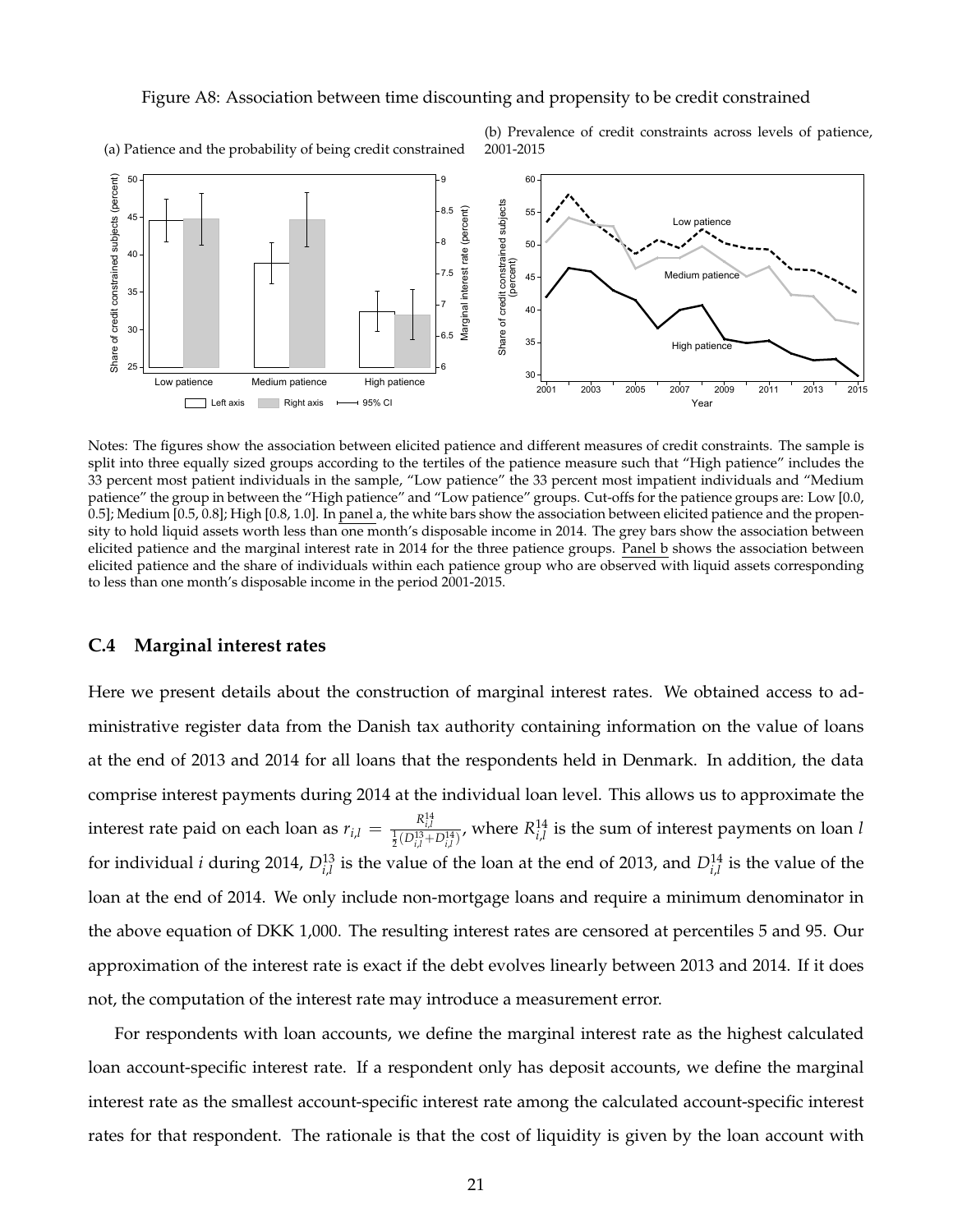#### Figure A8: Association between time discounting and propensity to be credit constrained



(a) Patience and the probability of being credit constrained

(b) Prevalence of credit constraints across levels of patience, 2001-2015

Notes: The figures show the association between elicited patience and different measures of credit constraints. The sample is split into three equally sized groups according to the tertiles of the patience measure such that "High patience" includes the 33 percent most patient individuals in the sample, "Low patience" the 33 percent most impatient individuals and "Medium patience" the group in between the "High patience" and "Low patience" groups. Cut-offs for the patience groups are: Low [0.0, 0.5]; Medium [0.5, 0.8]; High [0.8, 1.0]. In panel a, the white bars show the association between elicited patience and the propensity to hold liquid assets worth less than one month's disposable income in 2014. The grey bars show the association between elicited patience and the marginal interest rate in 2014 for the three patience groups. Panel b shows the association between elicited patience and the share of individuals within each patience group who are observed with liquid assets corresponding to less than one month's disposable income in the period 2001-2015.

#### **C.4 Marginal interest rates**

Here we present details about the construction of marginal interest rates. We obtained access to administrative register data from the Danish tax authority containing information on the value of loans at the end of 2013 and 2014 for all loans that the respondents held in Denmark. In addition, the data comprise interest payments during 2014 at the individual loan level. This allows us to approximate the interest rate paid on each loan as  $r_{i,l} = \frac{R_{i,l}^{14}}{\frac{1}{2}(D_{i,l}^{13}+D_{i,l}^{14})}$ , where  $R_{i,l}^{14}$  is the sum of interest payments on loan l for individual *i* during 2014,  $D_{i,l}^{13}$  is the value of the loan at the end of 2013, and  $D_{i,l}^{14}$  is the value of the loan at the end of 2014. We only include non-mortgage loans and require a minimum denominator in the above equation of DKK 1,000. The resulting interest rates are censored at percentiles 5 and 95. Our approximation of the interest rate is exact if the debt evolves linearly between 2013 and 2014. If it does not, the computation of the interest rate may introduce a measurement error.

For respondents with loan accounts, we define the marginal interest rate as the highest calculated loan account-specific interest rate. If a respondent only has deposit accounts, we define the marginal interest rate as the smallest account-specific interest rate among the calculated account-specific interest rates for that respondent. The rationale is that the cost of liquidity is given by the loan account with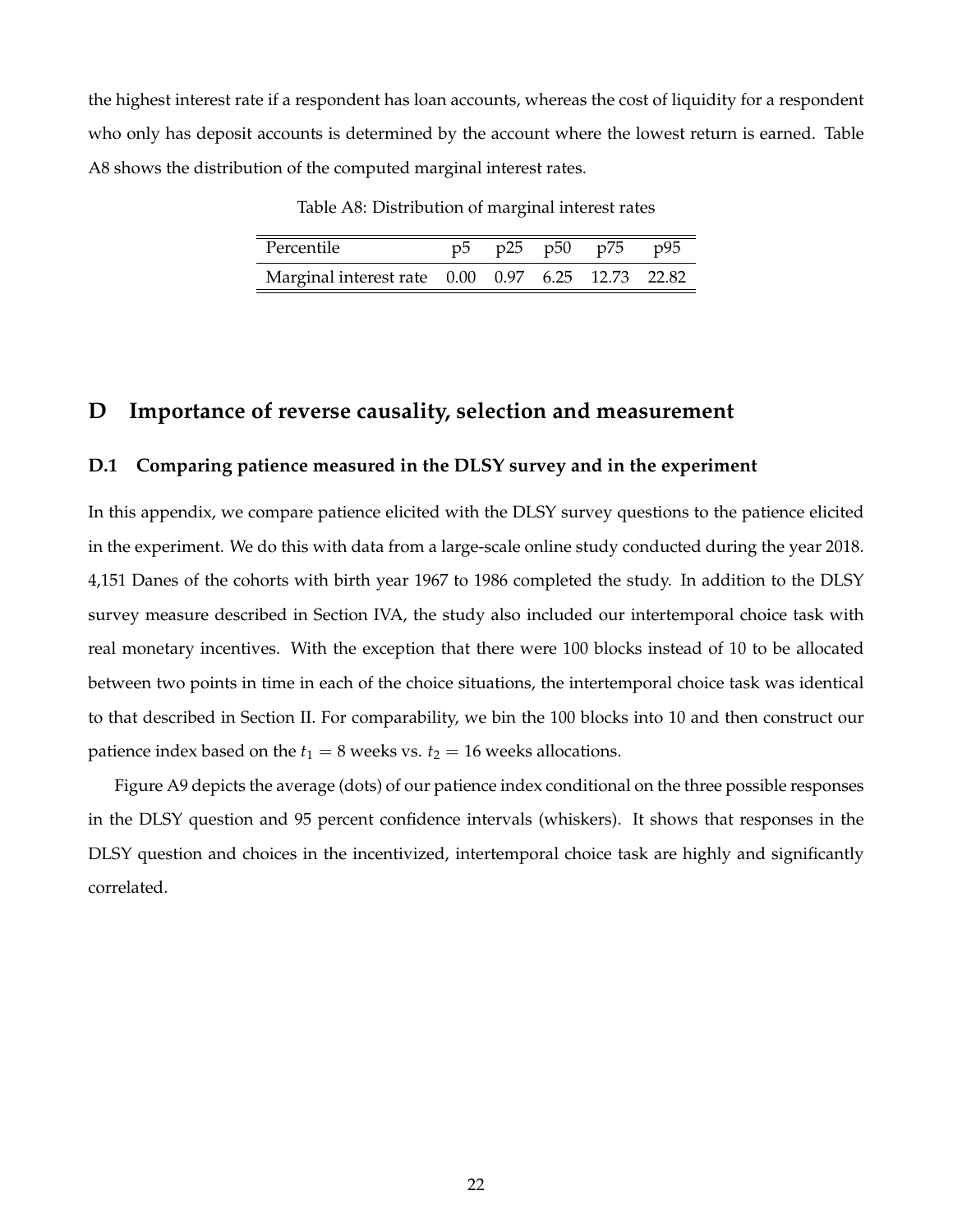the highest interest rate if a respondent has loan accounts, whereas the cost of liquidity for a respondent who only has deposit accounts is determined by the account where the lowest return is earned. Table A8 shows the distribution of the computed marginal interest rates.

Table A8: Distribution of marginal interest rates

| Percentile                                        |  | p5 p25 p50 p75 p95 |  |
|---------------------------------------------------|--|--------------------|--|
| Marginal interest rate 0.00 0.97 6.25 12.73 22.82 |  |                    |  |

## **D Importance of reverse causality, selection and measurement**

#### **D.1 Comparing patience measured in the DLSY survey and in the experiment**

In this appendix, we compare patience elicited with the DLSY survey questions to the patience elicited in the experiment. We do this with data from a large-scale online study conducted during the year 2018. 4,151 Danes of the cohorts with birth year 1967 to 1986 completed the study. In addition to the DLSY survey measure described in Section IVA, the study also included our intertemporal choice task with real monetary incentives. With the exception that there were 100 blocks instead of 10 to be allocated between two points in time in each of the choice situations, the intertemporal choice task was identical to that described in Section II. For comparability, we bin the 100 blocks into 10 and then construct our patience index based on the  $t_1 = 8$  weeks vs.  $t_2 = 16$  weeks allocations.

Figure A9 depicts the average (dots) of our patience index conditional on the three possible responses in the DLSY question and 95 percent confidence intervals (whiskers). It shows that responses in the DLSY question and choices in the incentivized, intertemporal choice task are highly and significantly correlated.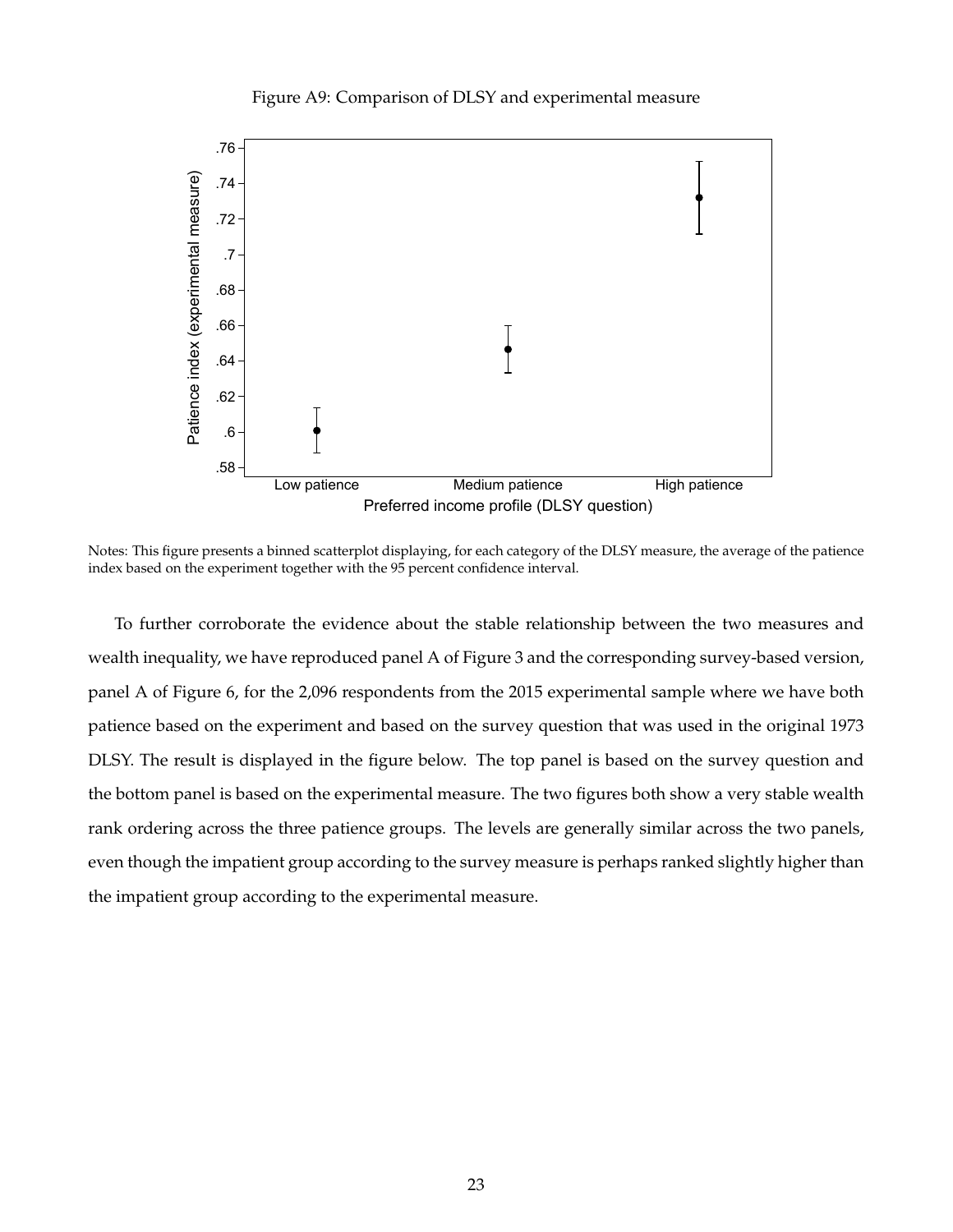#### Figure A9: Comparison of DLSY and experimental measure



Notes: This figure presents a binned scatterplot displaying, for each category of the DLSY measure, the average of the patience index based on the experiment together with the 95 percent confidence interval.

To further corroborate the evidence about the stable relationship between the two measures and wealth inequality, we have reproduced panel A of Figure 3 and the corresponding survey-based version, panel A of Figure 6, for the 2,096 respondents from the 2015 experimental sample where we have both patience based on the experiment and based on the survey question that was used in the original 1973 DLSY. The result is displayed in the figure below. The top panel is based on the survey question and the bottom panel is based on the experimental measure. The two figures both show a very stable wealth rank ordering across the three patience groups. The levels are generally similar across the two panels, even though the impatient group according to the survey measure is perhaps ranked slightly higher than the impatient group according to the experimental measure.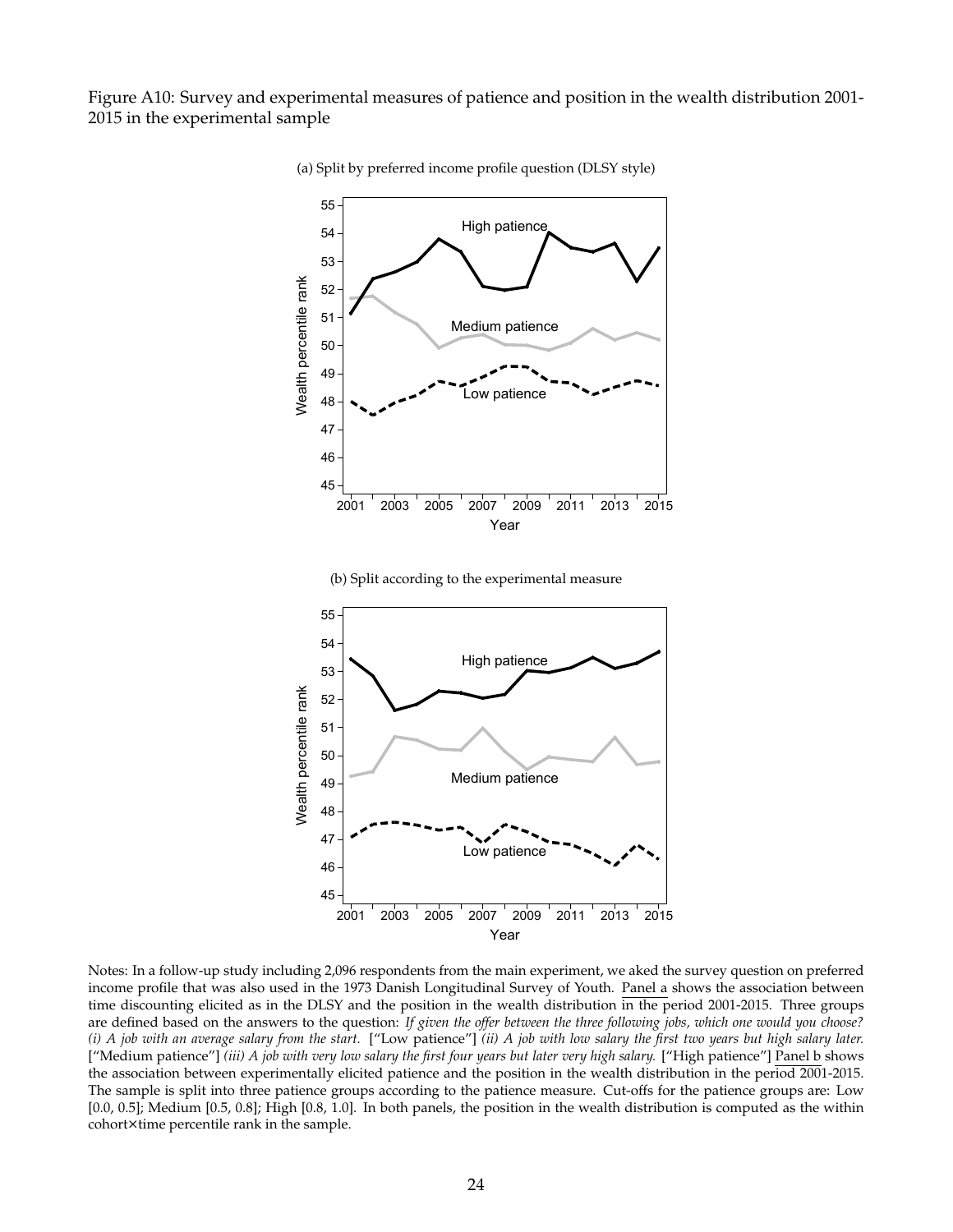Figure A10: Survey and experimental measures of patience and position in the wealth distribution 2001- 2015 in the experimental sample



(a) Split by preferred income profile question (DLSY style)

(b) Split according to the experimental measure



Notes: In a follow-up study including 2,096 respondents from the main experiment, we aked the survey question on preferred income profile that was also used in the 1973 Danish Longitudinal Survey of Youth. Panel a shows the association between time discounting elicited as in the DLSY and the position in the wealth distribution in the period 2001-2015. Three groups are defined based on the answers to the question: *If given the offer between the three following jobs, which one would you choose? (i) A job with an average salary from the start.* ["Low patience"] *(ii) A job with low salary the first two years but high salary later.* ["Medium patience"] *(iii) A job with very low salary the first four years but later very high salary.* ["High patience"] Panel b shows the association between experimentally elicited patience and the position in the wealth distribution in the period 2001-2015. The sample is split into three patience groups according to the patience measure. Cut-offs for the patience groups are: Low [0.0, 0.5]; Medium [0.5, 0.8]; High [0.8, 1.0]. In both panels, the position in the wealth distribution is computed as the within cohort×time percentile rank in the sample.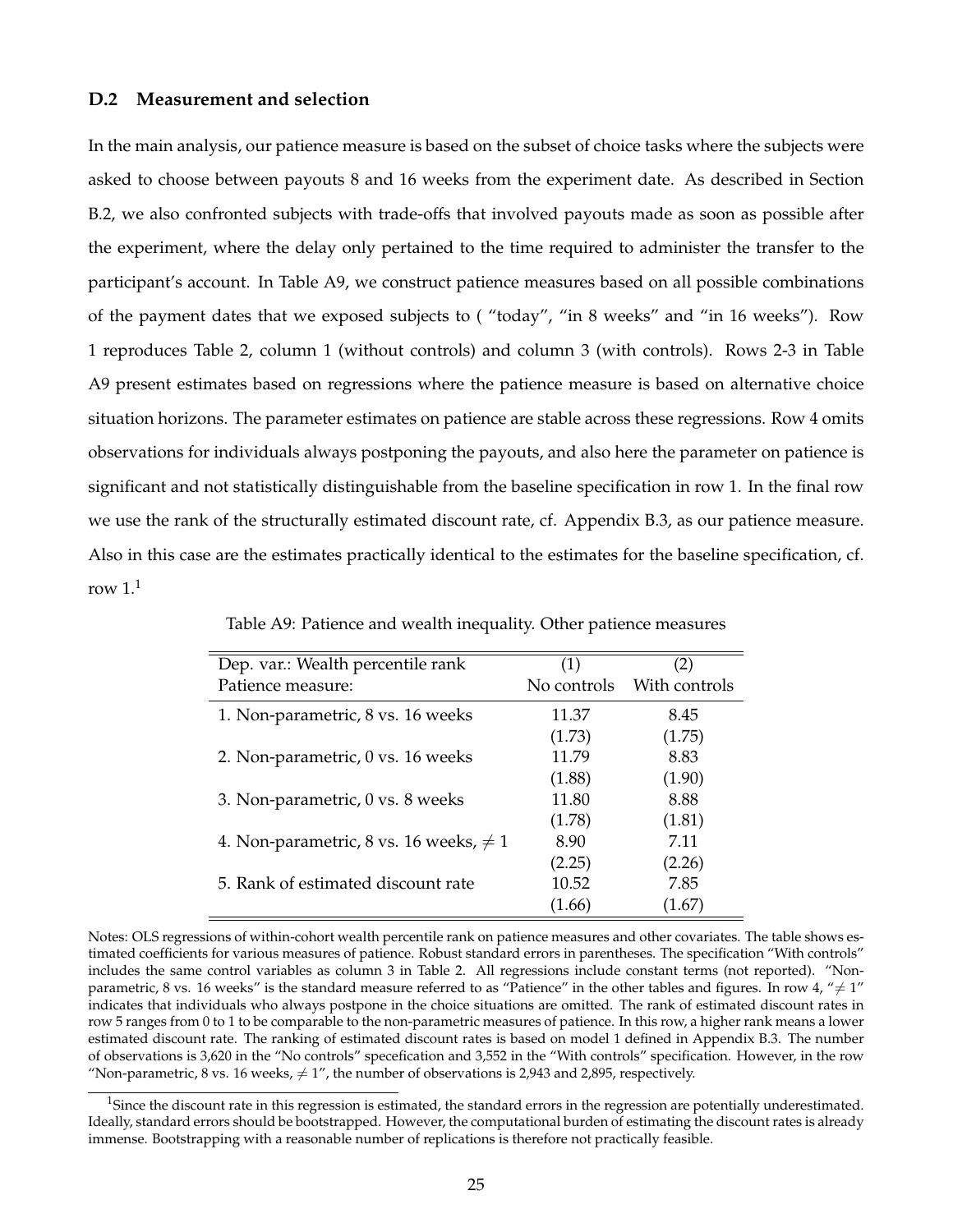#### **D.2 Measurement and selection**

In the main analysis, our patience measure is based on the subset of choice tasks where the subjects were asked to choose between payouts 8 and 16 weeks from the experiment date. As described in Section B.2, we also confronted subjects with trade-offs that involved payouts made as soon as possible after the experiment, where the delay only pertained to the time required to administer the transfer to the participant's account. In Table A9, we construct patience measures based on all possible combinations of the payment dates that we exposed subjects to ( "today", "in 8 weeks" and "in 16 weeks"). Row 1 reproduces Table 2, column 1 (without controls) and column 3 (with controls). Rows 2-3 in Table A9 present estimates based on regressions where the patience measure is based on alternative choice situation horizons. The parameter estimates on patience are stable across these regressions. Row 4 omits observations for individuals always postponing the payouts, and also here the parameter on patience is significant and not statistically distinguishable from the baseline specification in row 1. In the final row we use the rank of the structurally estimated discount rate, cf. Appendix B.3, as our patience measure. Also in this case are the estimates practically identical to the estimates for the baseline specification, cf. row  $1<sup>1</sup>$ 

| Dep. var.: Wealth percentile rank           | (1)         | $\left( 2\right)$ |
|---------------------------------------------|-------------|-------------------|
| Patience measure:                           | No controls | With controls     |
| 1. Non-parametric, 8 vs. 16 weeks           | 11.37       | 8.45              |
|                                             | (1.73)      | (1.75)            |
| 2. Non-parametric, 0 vs. 16 weeks           | 11.79       | 8.83              |
|                                             | (1.88)      | (1.90)            |
| 3. Non-parametric, 0 vs. 8 weeks            | 11.80       | 8.88              |
|                                             | (1.78)      | (1.81)            |
| 4. Non-parametric, 8 vs. 16 weeks, $\neq$ 1 | 8.90        | 7.11              |
|                                             | (2.25)      | (2.26)            |
| 5. Rank of estimated discount rate          | 10.52       | 7.85              |
|                                             | (1.66)      | (1.67)            |

Table A9: Patience and wealth inequality. Other patience measures

Notes: OLS regressions of within-cohort wealth percentile rank on patience measures and other covariates. The table shows estimated coefficients for various measures of patience. Robust standard errors in parentheses. The specification "With controls" includes the same control variables as column 3 in Table 2. All regressions include constant terms (not reported). "Nonparametric, 8 vs. 16 weeks" is the standard measure referred to as "Patience" in the other tables and figures. In row 4, " $\neq$  1" indicates that individuals who always postpone in the choice situations are omitted. The rank of estimated discount rates in row 5 ranges from 0 to 1 to be comparable to the non-parametric measures of patience. In this row, a higher rank means a lower estimated discount rate. The ranking of estimated discount rates is based on model 1 defined in Appendix B.3. The number of observations is 3,620 in the "No controls" specefication and 3,552 in the "With controls" specification. However, in the row "Non-parametric, 8 vs. 16 weeks,  $\neq 1$ ", the number of observations is 2,943 and 2,895, respectively.

<sup>&</sup>lt;sup>1</sup>Since the discount rate in this regression is estimated, the standard errors in the regression are potentially underestimated. Ideally, standard errors should be bootstrapped. However, the computational burden of estimating the discount rates is already immense. Bootstrapping with a reasonable number of replications is therefore not practically feasible.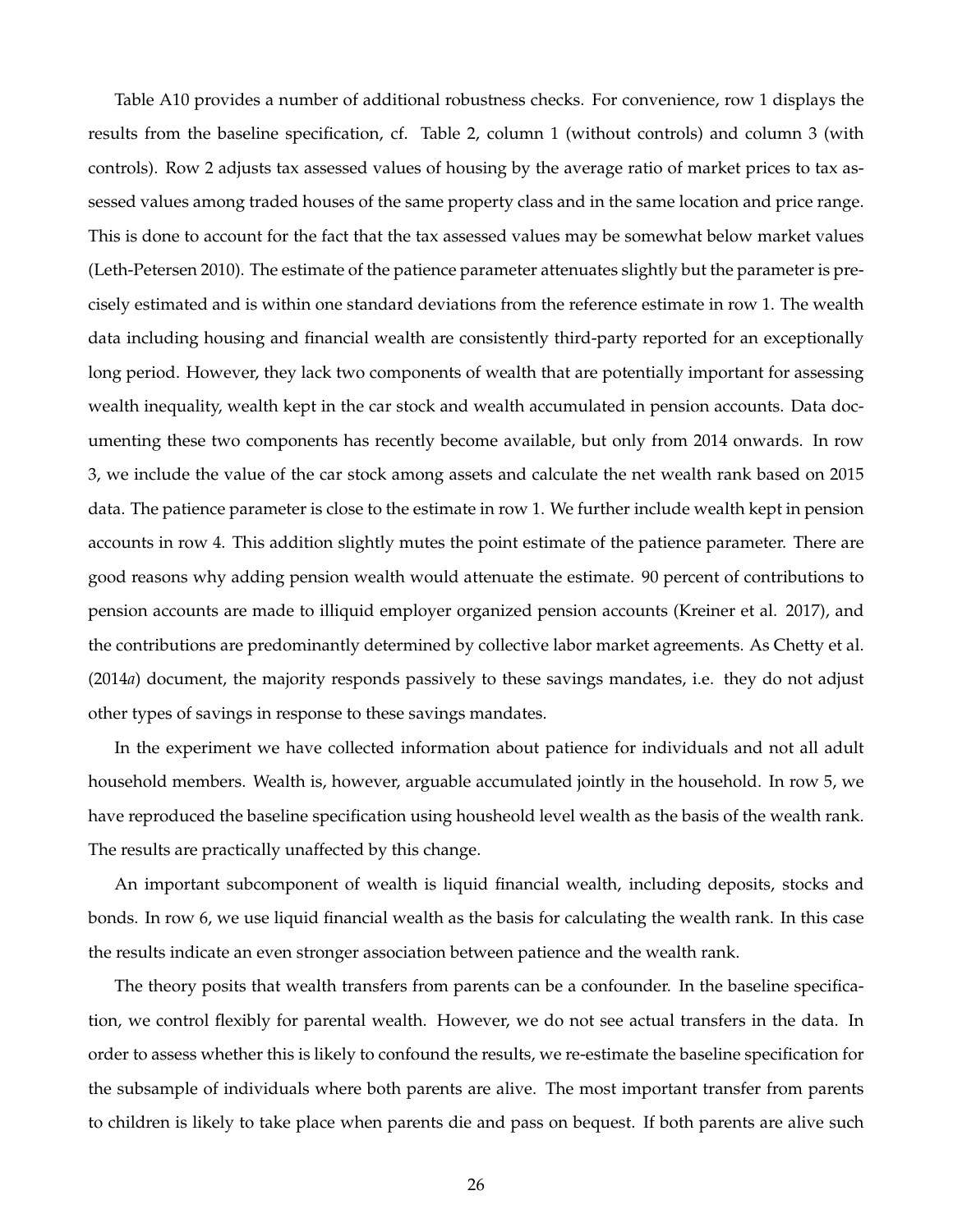Table A10 provides a number of additional robustness checks. For convenience, row 1 displays the results from the baseline specification, cf. Table 2, column 1 (without controls) and column 3 (with controls). Row 2 adjusts tax assessed values of housing by the average ratio of market prices to tax assessed values among traded houses of the same property class and in the same location and price range. This is done to account for the fact that the tax assessed values may be somewhat below market values (Leth-Petersen 2010). The estimate of the patience parameter attenuates slightly but the parameter is precisely estimated and is within one standard deviations from the reference estimate in row 1. The wealth data including housing and financial wealth are consistently third-party reported for an exceptionally long period. However, they lack two components of wealth that are potentially important for assessing wealth inequality, wealth kept in the car stock and wealth accumulated in pension accounts. Data documenting these two components has recently become available, but only from 2014 onwards. In row 3, we include the value of the car stock among assets and calculate the net wealth rank based on 2015 data. The patience parameter is close to the estimate in row 1. We further include wealth kept in pension accounts in row 4. This addition slightly mutes the point estimate of the patience parameter. There are good reasons why adding pension wealth would attenuate the estimate. 90 percent of contributions to pension accounts are made to illiquid employer organized pension accounts (Kreiner et al. 2017), and the contributions are predominantly determined by collective labor market agreements. As Chetty et al. (2014*a*) document, the majority responds passively to these savings mandates, i.e. they do not adjust other types of savings in response to these savings mandates.

In the experiment we have collected information about patience for individuals and not all adult household members. Wealth is, however, arguable accumulated jointly in the household. In row 5, we have reproduced the baseline specification using housheold level wealth as the basis of the wealth rank. The results are practically unaffected by this change.

An important subcomponent of wealth is liquid financial wealth, including deposits, stocks and bonds. In row 6, we use liquid financial wealth as the basis for calculating the wealth rank. In this case the results indicate an even stronger association between patience and the wealth rank.

The theory posits that wealth transfers from parents can be a confounder. In the baseline specification, we control flexibly for parental wealth. However, we do not see actual transfers in the data. In order to assess whether this is likely to confound the results, we re-estimate the baseline specification for the subsample of individuals where both parents are alive. The most important transfer from parents to children is likely to take place when parents die and pass on bequest. If both parents are alive such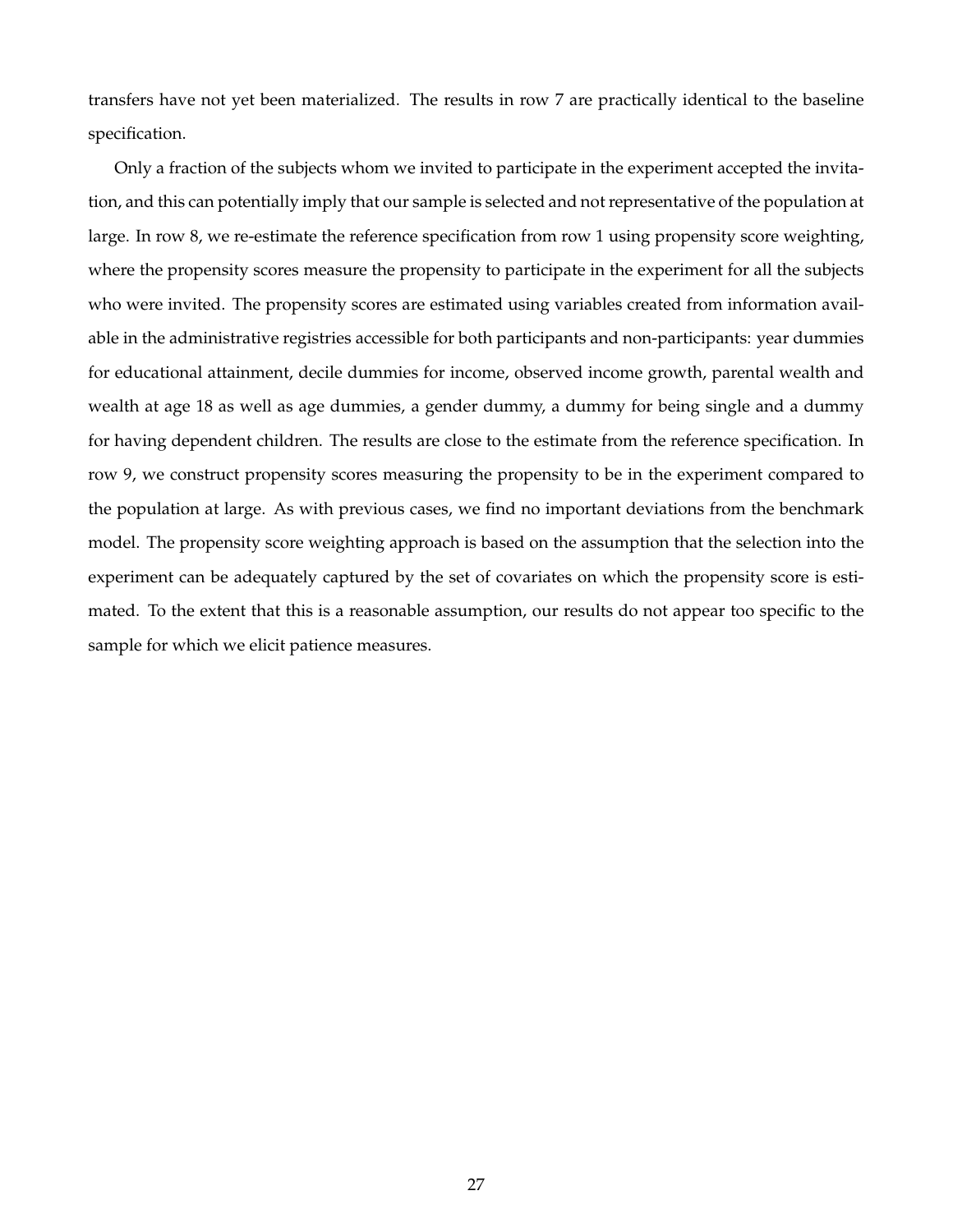transfers have not yet been materialized. The results in row 7 are practically identical to the baseline specification.

Only a fraction of the subjects whom we invited to participate in the experiment accepted the invitation, and this can potentially imply that our sample is selected and not representative of the population at large. In row 8, we re-estimate the reference specification from row 1 using propensity score weighting, where the propensity scores measure the propensity to participate in the experiment for all the subjects who were invited. The propensity scores are estimated using variables created from information available in the administrative registries accessible for both participants and non-participants: year dummies for educational attainment, decile dummies for income, observed income growth, parental wealth and wealth at age 18 as well as age dummies, a gender dummy, a dummy for being single and a dummy for having dependent children. The results are close to the estimate from the reference specification. In row 9, we construct propensity scores measuring the propensity to be in the experiment compared to the population at large. As with previous cases, we find no important deviations from the benchmark model. The propensity score weighting approach is based on the assumption that the selection into the experiment can be adequately captured by the set of covariates on which the propensity score is estimated. To the extent that this is a reasonable assumption, our results do not appear too specific to the sample for which we elicit patience measures.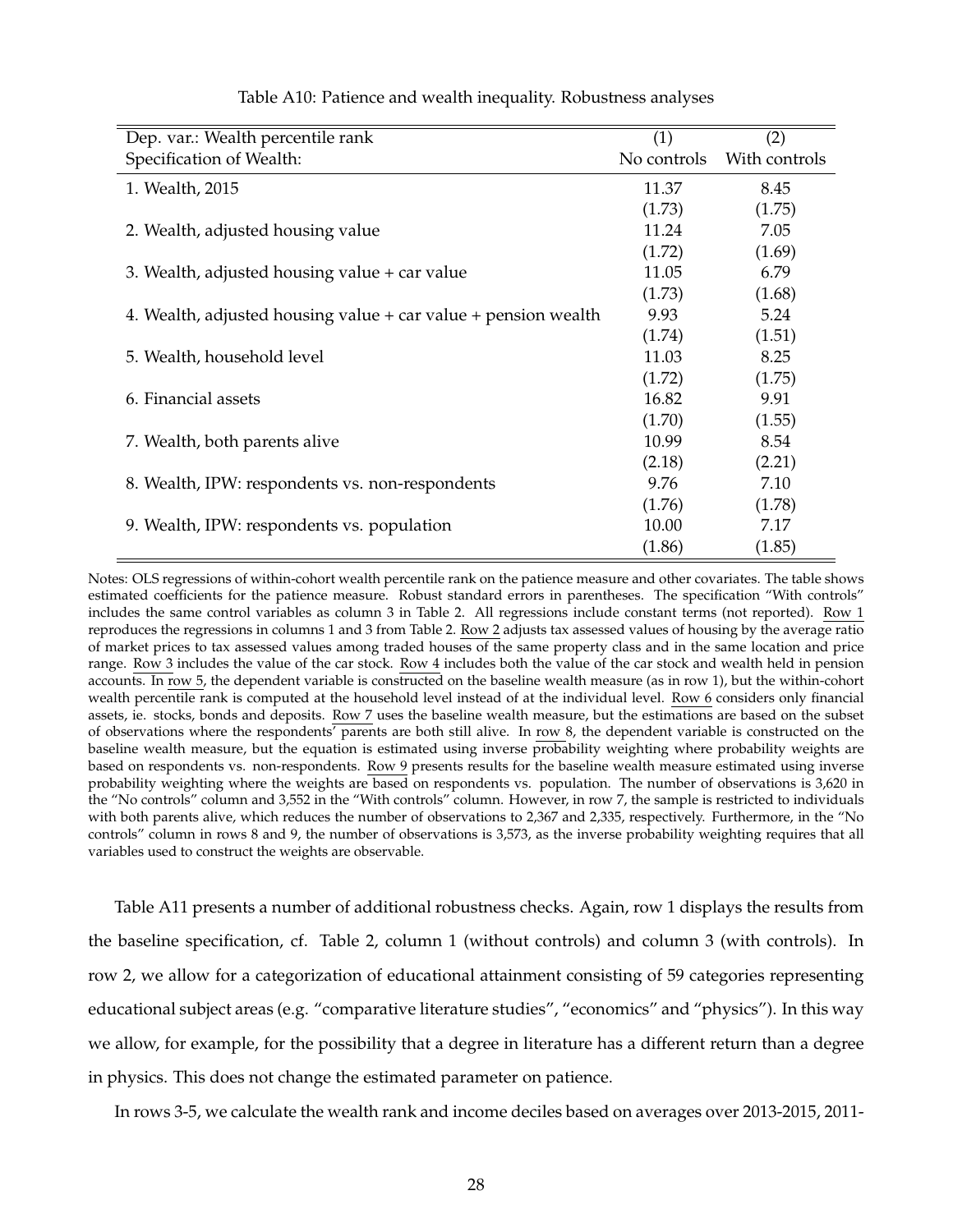| Dep. var.: Wealth percentile rank                              | (1)         | (2)           |
|----------------------------------------------------------------|-------------|---------------|
| Specification of Wealth:                                       | No controls | With controls |
| 1. Wealth, 2015                                                | 11.37       | 8.45          |
|                                                                | (1.73)      | (1.75)        |
| 2. Wealth, adjusted housing value                              | 11.24       | 7.05          |
|                                                                | (1.72)      | (1.69)        |
| 3. Wealth, adjusted housing value + car value                  | 11.05       | 6.79          |
|                                                                | (1.73)      | (1.68)        |
| 4. Wealth, adjusted housing value + car value + pension wealth | 9.93        | 5.24          |
|                                                                | (1.74)      | (1.51)        |
| 5. Wealth, household level                                     | 11.03       | 8.25          |
|                                                                | (1.72)      | (1.75)        |
| 6. Financial assets                                            | 16.82       | 9.91          |
|                                                                | (1.70)      | (1.55)        |
| 7. Wealth, both parents alive                                  | 10.99       | 8.54          |
|                                                                | (2.18)      | (2.21)        |
| 8. Wealth, IPW: respondents vs. non-respondents                | 9.76        | 7.10          |
|                                                                | (1.76)      | (1.78)        |
| 9. Wealth, IPW: respondents vs. population                     | 10.00       | 7.17          |
|                                                                | (1.86)      | (1.85)        |

Table A10: Patience and wealth inequality. Robustness analyses

Notes: OLS regressions of within-cohort wealth percentile rank on the patience measure and other covariates. The table shows estimated coefficients for the patience measure. Robust standard errors in parentheses. The specification "With controls" includes the same control variables as column 3 in Table 2. All regressions include constant terms (not reported). Row 1 reproduces the regressions in columns 1 and 3 from Table 2. Row 2 adjusts tax assessed values of housing by the average ratio of market prices to tax assessed values among traded houses of the same property class and in the same location and price range. Row 3 includes the value of the car stock. Row 4 includes both the value of the car stock and wealth held in pension accounts. In row 5, the dependent variable is constructed on the baseline wealth measure (as in row 1), but the within-cohort wealth percentile rank is computed at the household level instead of at the individual level. Row 6 considers only financial assets, ie. stocks, bonds and deposits. Row 7 uses the baseline wealth measure, but the estimations are based on the subset of observations where the respondents' parents are both still alive. In row 8, the dependent variable is constructed on the baseline wealth measure, but the equation is estimated using inverse probability weighting where probability weights are based on respondents vs. non-respondents. Row 9 presents results for the baseline wealth measure estimated using inverse probability weighting where the weights are based on respondents vs. population. The number of observations is 3,620 in the "No controls" column and 3,552 in the "With controls" column. However, in row 7, the sample is restricted to individuals with both parents alive, which reduces the number of observations to 2,367 and 2,335, respectively. Furthermore, in the "No controls" column in rows 8 and 9, the number of observations is 3,573, as the inverse probability weighting requires that all variables used to construct the weights are observable.

Table A11 presents a number of additional robustness checks. Again, row 1 displays the results from the baseline specification, cf. Table 2, column 1 (without controls) and column 3 (with controls). In row 2, we allow for a categorization of educational attainment consisting of 59 categories representing educational subject areas (e.g. "comparative literature studies", "economics" and "physics"). In this way we allow, for example, for the possibility that a degree in literature has a different return than a degree in physics. This does not change the estimated parameter on patience.

In rows 3-5, we calculate the wealth rank and income deciles based on averages over 2013-2015, 2011-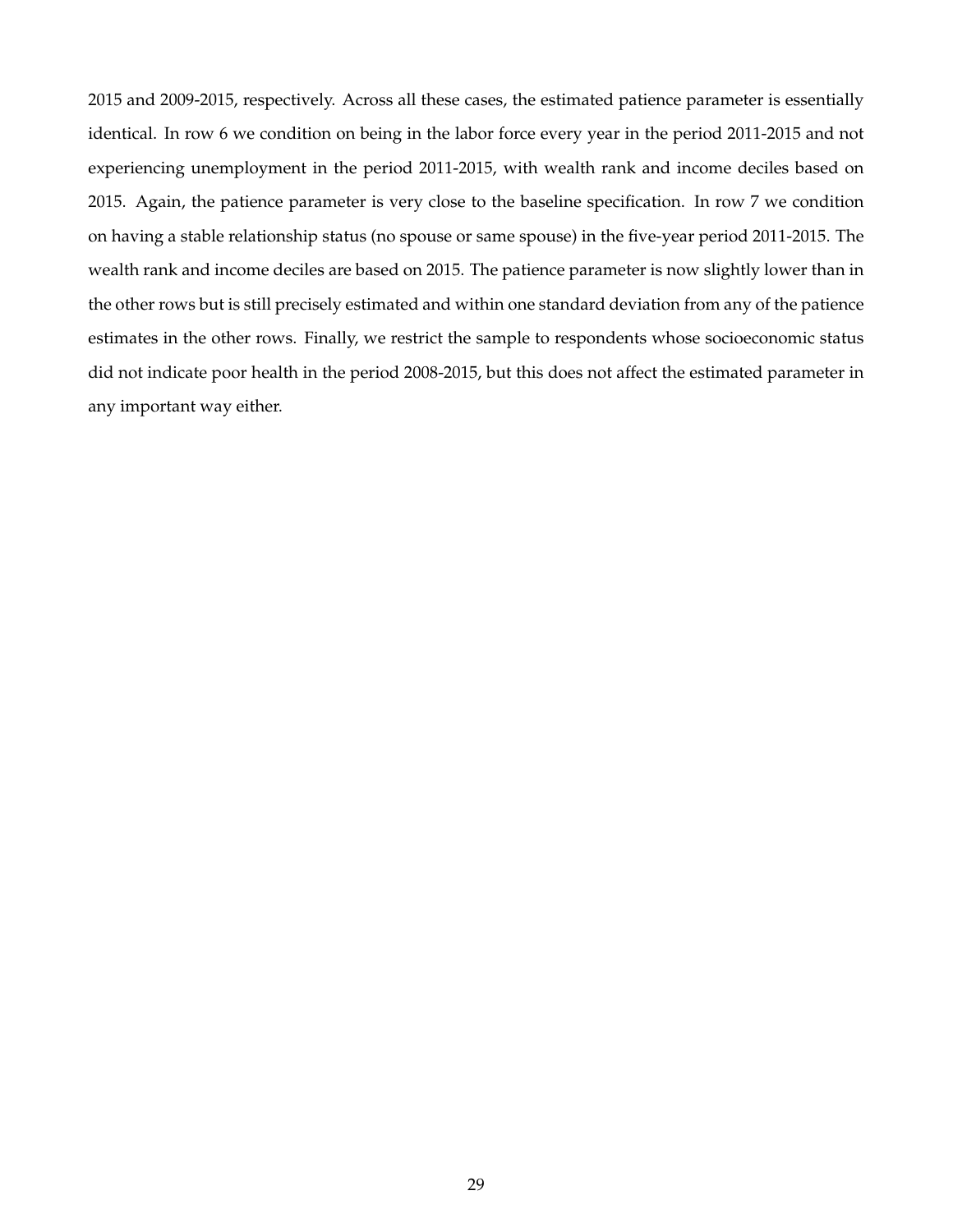2015 and 2009-2015, respectively. Across all these cases, the estimated patience parameter is essentially identical. In row 6 we condition on being in the labor force every year in the period 2011-2015 and not experiencing unemployment in the period 2011-2015, with wealth rank and income deciles based on 2015. Again, the patience parameter is very close to the baseline specification. In row 7 we condition on having a stable relationship status (no spouse or same spouse) in the five-year period 2011-2015. The wealth rank and income deciles are based on 2015. The patience parameter is now slightly lower than in the other rows but is still precisely estimated and within one standard deviation from any of the patience estimates in the other rows. Finally, we restrict the sample to respondents whose socioeconomic status did not indicate poor health in the period 2008-2015, but this does not affect the estimated parameter in any important way either.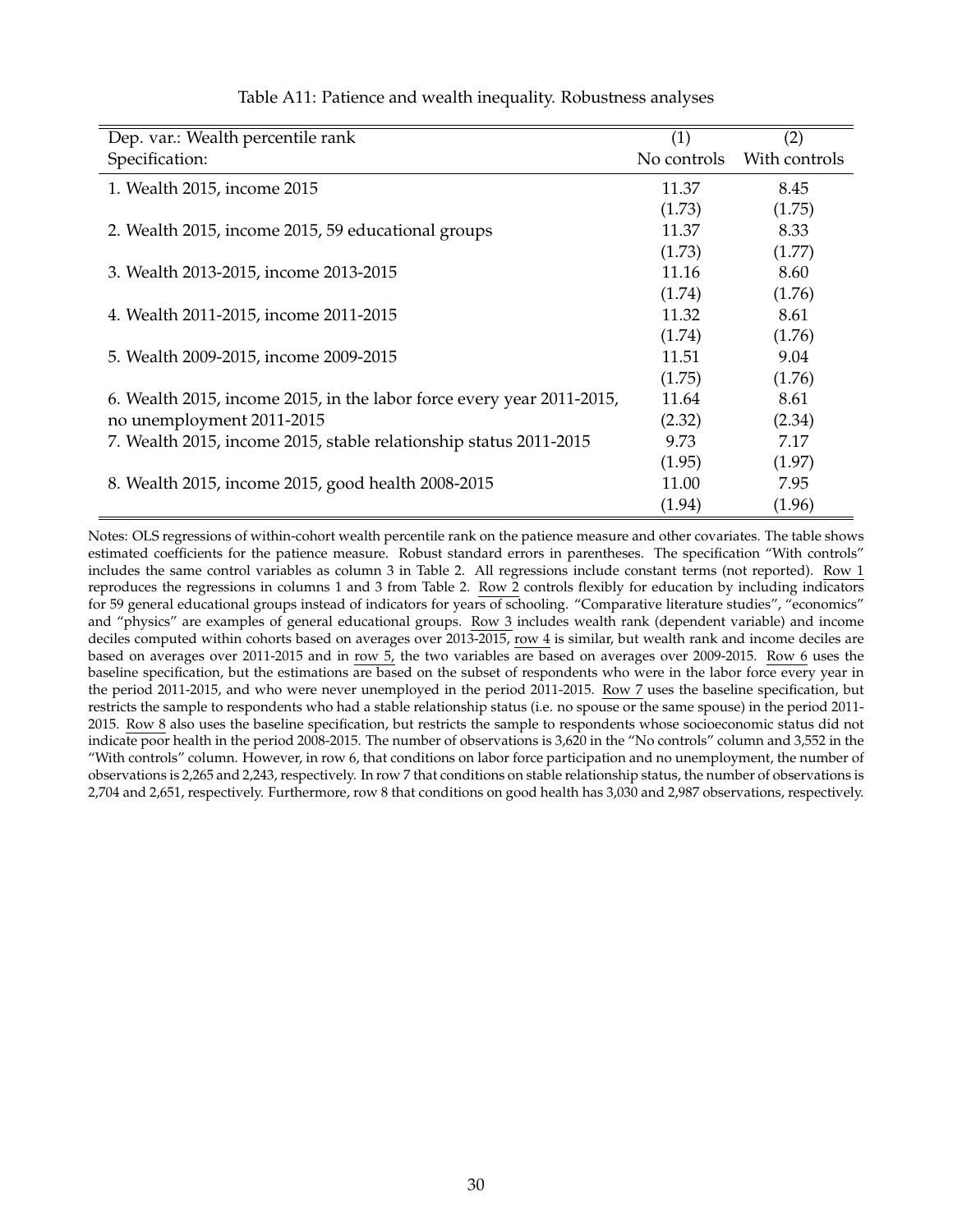| Dep. var.: Wealth percentile rank                                     | (1)         | (2)           |
|-----------------------------------------------------------------------|-------------|---------------|
| Specification:                                                        | No controls | With controls |
| 1. Wealth 2015, income 2015                                           | 11.37       | 8.45          |
|                                                                       | (1.73)      | (1.75)        |
| 2. Wealth 2015, income 2015, 59 educational groups                    | 11.37       | 8.33          |
|                                                                       | (1.73)      | (1.77)        |
| 3. Wealth 2013-2015, income 2013-2015                                 | 11.16       | 8.60          |
|                                                                       | (1.74)      | (1.76)        |
| 4. Wealth 2011-2015, income 2011-2015                                 | 11.32       | 8.61          |
|                                                                       | (1.74)      | (1.76)        |
| 5. Wealth 2009-2015, income 2009-2015                                 | 11.51       | 9.04          |
|                                                                       | (1.75)      | (1.76)        |
| 6. Wealth 2015, income 2015, in the labor force every year 2011-2015, | 11.64       | 8.61          |
| no unemployment 2011-2015                                             | (2.32)      | (2.34)        |
| 7. Wealth 2015, income 2015, stable relationship status 2011-2015     | 9.73        | 7.17          |
|                                                                       | (1.95)      | (1.97)        |
| 8. Wealth 2015, income 2015, good health 2008-2015                    | 11.00       | 7.95          |
|                                                                       | (1.94)      | (1.96)        |

#### Table A11: Patience and wealth inequality. Robustness analyses

Notes: OLS regressions of within-cohort wealth percentile rank on the patience measure and other covariates. The table shows estimated coefficients for the patience measure. Robust standard errors in parentheses. The specification "With controls" includes the same control variables as column 3 in Table 2. All regressions include constant terms (not reported). Row 1 reproduces the regressions in columns 1 and 3 from Table 2. Row 2 controls flexibly for education by including indicators for 59 general educational groups instead of indicators for years of schooling. "Comparative literature studies", "economics" and "physics" are examples of general educational groups. Row 3 includes wealth rank (dependent variable) and income deciles computed within cohorts based on averages over 2013-2015, row 4 is similar, but wealth rank and income deciles are based on averages over 2011-2015 and in row 5, the two variables are based on averages over 2009-2015. Row 6 uses the baseline specification, but the estimations are based on the subset of respondents who were in the labor force every year in the period 2011-2015, and who were never unemployed in the period 2011-2015. Row 7 uses the baseline specification, but restricts the sample to respondents who had a stable relationship status (i.e. no spouse or the same spouse) in the period 2011- 2015. Row 8 also uses the baseline specification, but restricts the sample to respondents whose socioeconomic status did not indicate poor health in the period 2008-2015. The number of observations is 3,620 in the "No controls" column and 3,552 in the "With controls" column. However, in row 6, that conditions on labor force participation and no unemployment, the number of observations is 2,265 and 2,243, respectively. In row 7 that conditions on stable relationship status, the number of observations is 2,704 and 2,651, respectively. Furthermore, row 8 that conditions on good health has 3,030 and 2,987 observations, respectively.